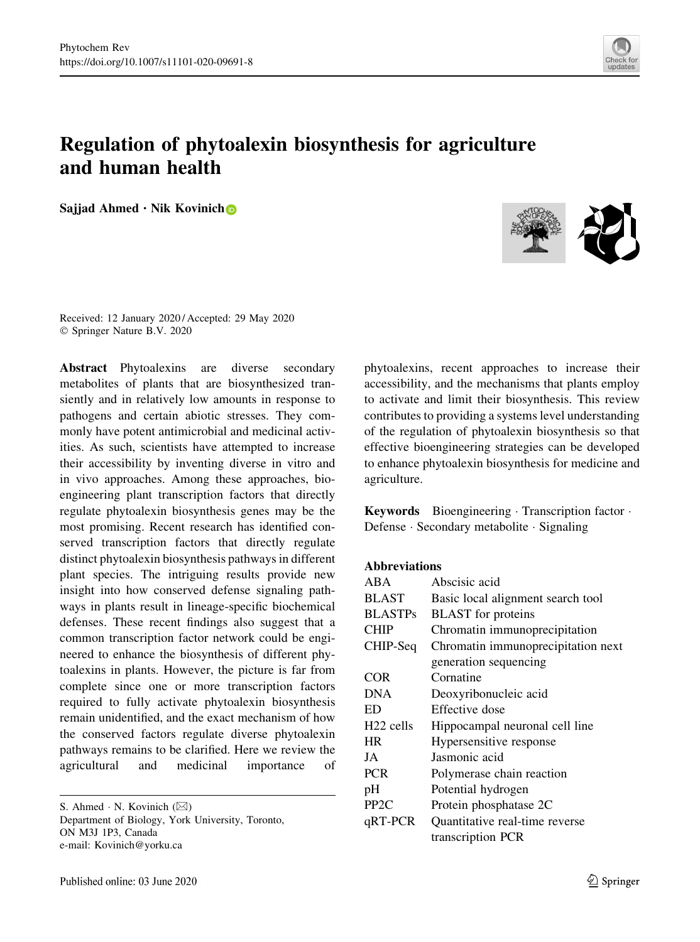

# Regulation of phytoalexin biosynthesis for agriculture and human health

Sajjad Ahmed  $\cdot$  Nik Kovinich



Received: 12 January 2020 / Accepted: 29 May 2020 © Springer Nature B.V. 2020

Abstract Phytoalexins are diverse secondary metabolites of plants that are biosynthesized transiently and in relatively low amounts in response to pathogens and certain abiotic stresses. They commonly have potent antimicrobial and medicinal activities. As such, scientists have attempted to increase their accessibility by inventing diverse in vitro and in vivo approaches. Among these approaches, bioengineering plant transcription factors that directly regulate phytoalexin biosynthesis genes may be the most promising. Recent research has identified conserved transcription factors that directly regulate distinct phytoalexin biosynthesis pathways in different plant species. The intriguing results provide new insight into how conserved defense signaling pathways in plants result in lineage-specific biochemical defenses. These recent findings also suggest that a common transcription factor network could be engineered to enhance the biosynthesis of different phytoalexins in plants. However, the picture is far from complete since one or more transcription factors required to fully activate phytoalexin biosynthesis remain unidentified, and the exact mechanism of how the conserved factors regulate diverse phytoalexin pathways remains to be clarified. Here we review the agricultural and medicinal importance of

S. Ahmed  $\cdot$  N. Kovinich ( $\boxtimes$ ) Department of Biology, York University, Toronto, ON M3J 1P3, Canada e-mail: Kovinich@yorku.ca

phytoalexins, recent approaches to increase their accessibility, and the mechanisms that plants employ to activate and limit their biosynthesis. This review contributes to providing a systems level understanding of the regulation of phytoalexin biosynthesis so that effective bioengineering strategies can be developed to enhance phytoalexin biosynthesis for medicine and agriculture.

Keywords Bioengineering Transcription factor Defense - Secondary metabolite - Signaling

### Abbreviations

| ABA                   | Abscisic acid                      |
|-----------------------|------------------------------------|
| <b>BLAST</b>          | Basic local alignment search tool  |
| <b>BLASTPs</b>        | <b>BLAST</b> for proteins          |
| <b>CHIP</b>           | Chromatin immunoprecipitation      |
| CHIP-Seq              | Chromatin immunoprecipitation next |
|                       | generation sequencing              |
| COR                   | Cornatine                          |
| <b>DNA</b>            | Deoxyribonucleic acid              |
| ED                    | Effective dose                     |
| H <sub>22</sub> cells | Hippocampal neuronal cell line     |
| <b>HR</b>             | Hypersensitive response            |
| JA                    | Jasmonic acid                      |
| <b>PCR</b>            | Polymerase chain reaction          |
| pH                    | Potential hydrogen                 |
| PP <sub>2C</sub>      | Protein phosphatase 2C             |
| qRT-PCR               | Quantitative real-time reverse     |
|                       | transcription PCR                  |
|                       |                                    |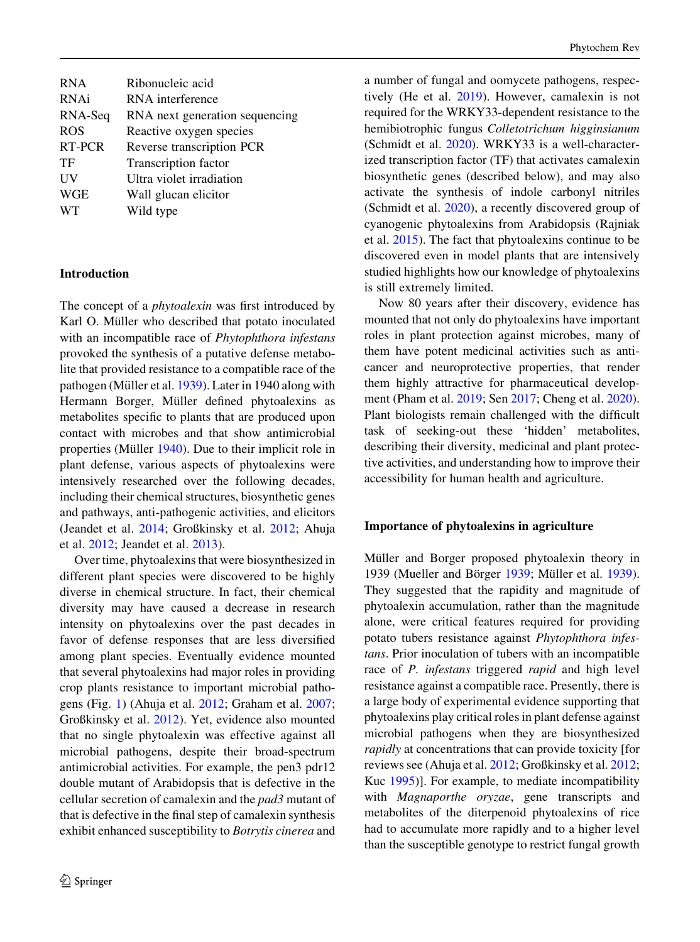| Ribonucleic acid               |
|--------------------------------|
| RNA interference               |
| RNA next generation sequencing |
| Reactive oxygen species        |
| Reverse transcription PCR      |
| Transcription factor           |
| Ultra violet irradiation       |
| Wall glucan elicitor           |
| Wild type                      |
|                                |

#### Introduction

The concept of a *phytoalexin* was first introduced by Karl O. Müller who described that potato inoculated with an incompatible race of *Phytophthora infestans* provoked the synthesis of a putative defense metabolite that provided resistance to a compatible race of the pathogen (Müller et al. [1939](#page-19-0)). Later in 1940 along with Hermann Borger, Müller defined phytoalexins as metabolites specific to plants that are produced upon contact with microbes and that show antimicrobial properties (Müller  $1940$ ). Due to their implicit role in plant defense, various aspects of phytoalexins were intensively researched over the following decades, including their chemical structures, biosynthetic genes and pathways, anti-pathogenic activities, and elicitors (Jeandet et al. [2014;](#page-18-0) Großkinsky et al. [2012](#page-17-0); Ahuja et al. [2012](#page-15-0); Jeandet et al. [2013](#page-18-0)).

Over time, phytoalexins that were biosynthesized in different plant species were discovered to be highly diverse in chemical structure. In fact, their chemical diversity may have caused a decrease in research intensity on phytoalexins over the past decades in favor of defense responses that are less diversified among plant species. Eventually evidence mounted that several phytoalexins had major roles in providing crop plants resistance to important microbial pathogens (Fig. [1](#page-2-0)) (Ahuja et al. [2012](#page-15-0); Graham et al. [2007](#page-17-0); Großkinsky et al. [2012](#page-17-0)). Yet, evidence also mounted that no single phytoalexin was effective against all microbial pathogens, despite their broad-spectrum antimicrobial activities. For example, the pen3 pdr12 double mutant of Arabidopsis that is defective in the cellular secretion of camalexin and the pad3 mutant of that is defective in the final step of camalexin synthesis exhibit enhanced susceptibility to Botrytis cinerea and

a number of fungal and oomycete pathogens, respectively (He et al. [2019](#page-17-0)). However, camalexin is not required for the WRKY33-dependent resistance to the hemibiotrophic fungus Colletotrichum higginsianum (Schmidt et al. [2020\)](#page-20-0). WRKY33 is a well-characterized transcription factor (TF) that activates camalexin biosynthetic genes (described below), and may also activate the synthesis of indole carbonyl nitriles (Schmidt et al. [2020\)](#page-20-0), a recently discovered group of cyanogenic phytoalexins from Arabidopsis (Rajniak et al. [2015](#page-20-0)). The fact that phytoalexins continue to be discovered even in model plants that are intensively studied highlights how our knowledge of phytoalexins is still extremely limited.

Now 80 years after their discovery, evidence has mounted that not only do phytoalexins have important roles in plant protection against microbes, many of them have potent medicinal activities such as anticancer and neuroprotective properties, that render them highly attractive for pharmaceutical development (Pham et al. [2019](#page-20-0); Sen [2017](#page-20-0); Cheng et al. [2020](#page-16-0)). Plant biologists remain challenged with the difficult task of seeking-out these 'hidden' metabolites, describing their diversity, medicinal and plant protective activities, and understanding how to improve their accessibility for human health and agriculture.

#### Importance of phytoalexins in agriculture

Müller and Borger proposed phytoalexin theory in 1939 (Mueller and Börger [1939;](#page-19-0) Müller et al. [1939](#page-19-0)). They suggested that the rapidity and magnitude of phytoalexin accumulation, rather than the magnitude alone, were critical features required for providing potato tubers resistance against Phytophthora infestans. Prior inoculation of tubers with an incompatible race of P. infestans triggered rapid and high level resistance against a compatible race. Presently, there is a large body of experimental evidence supporting that phytoalexins play critical roles in plant defense against microbial pathogens when they are biosynthesized rapidly at concentrations that can provide toxicity [for reviews see (Ahuja et al. [2012](#page-15-0); Großkinsky et al. [2012](#page-17-0); Kuc [1995\)](#page-18-0)]. For example, to mediate incompatibility with Magnaporthe oryzae, gene transcripts and metabolites of the diterpenoid phytoalexins of rice had to accumulate more rapidly and to a higher level than the susceptible genotype to restrict fungal growth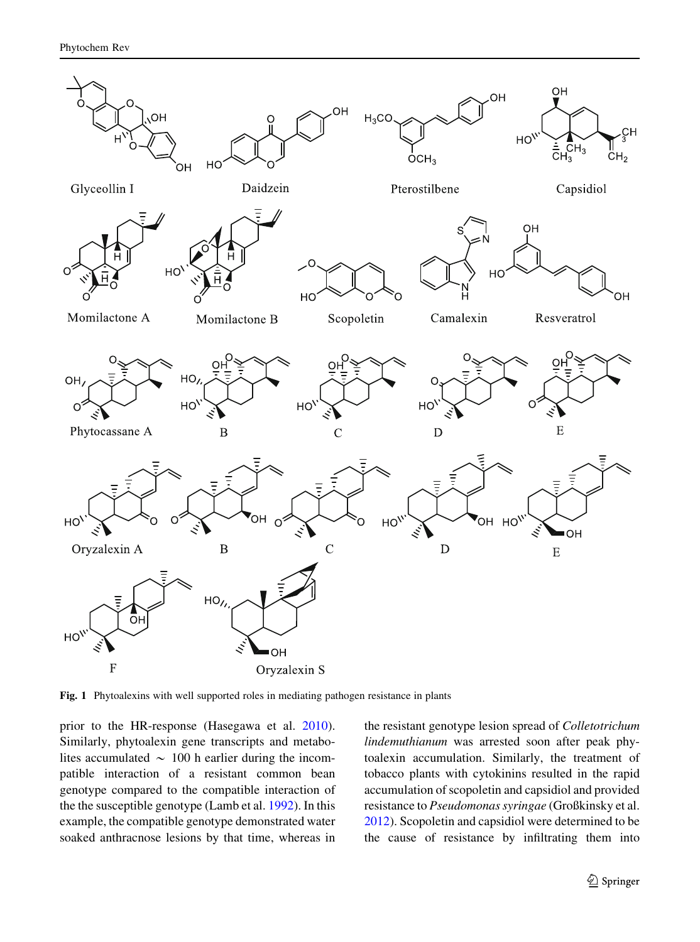<span id="page-2-0"></span>

Fig. 1 Phytoalexins with well supported roles in mediating pathogen resistance in plants

prior to the HR-response (Hasegawa et al. [2010](#page-17-0)). Similarly, phytoalexin gene transcripts and metabolites accumulated  $\sim 100$  h earlier during the incompatible interaction of a resistant common bean genotype compared to the compatible interaction of the the susceptible genotype (Lamb et al. [1992\)](#page-18-0). In this example, the compatible genotype demonstrated water soaked anthracnose lesions by that time, whereas in the resistant genotype lesion spread of Colletotrichum lindemuthianum was arrested soon after peak phytoalexin accumulation. Similarly, the treatment of tobacco plants with cytokinins resulted in the rapid accumulation of scopoletin and capsidiol and provided resistance to Pseudomonas syringae (Großkinsky et al. [2012\)](#page-17-0). Scopoletin and capsidiol were determined to be the cause of resistance by infiltrating them into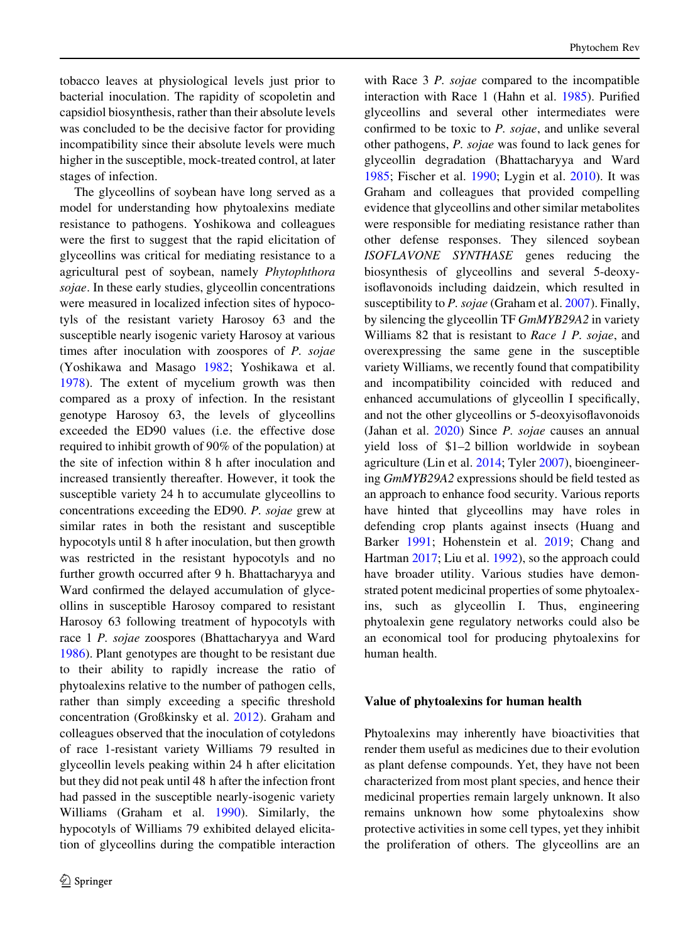tobacco leaves at physiological levels just prior to bacterial inoculation. The rapidity of scopoletin and capsidiol biosynthesis, rather than their absolute levels was concluded to be the decisive factor for providing incompatibility since their absolute levels were much higher in the susceptible, mock-treated control, at later stages of infection.

The glyceollins of soybean have long served as a model for understanding how phytoalexins mediate resistance to pathogens. Yoshikowa and colleagues were the first to suggest that the rapid elicitation of glyceollins was critical for mediating resistance to a agricultural pest of soybean, namely Phytophthora sojae. In these early studies, glyceollin concentrations were measured in localized infection sites of hypocotyls of the resistant variety Harosoy 63 and the susceptible nearly isogenic variety Harosoy at various times after inoculation with zoospores of P. sojae (Yoshikawa and Masago [1982](#page-21-0); Yoshikawa et al. [1978\)](#page-21-0). The extent of mycelium growth was then compared as a proxy of infection. In the resistant genotype Harosoy 63, the levels of glyceollins exceeded the ED90 values (i.e. the effective dose required to inhibit growth of 90% of the population) at the site of infection within 8 h after inoculation and increased transiently thereafter. However, it took the susceptible variety 24 h to accumulate glyceollins to concentrations exceeding the ED90. P. sojae grew at similar rates in both the resistant and susceptible hypocotyls until 8 h after inoculation, but then growth was restricted in the resistant hypocotyls and no further growth occurred after 9 h. Bhattacharyya and Ward confirmed the delayed accumulation of glyceollins in susceptible Harosoy compared to resistant Harosoy 63 following treatment of hypocotyls with race 1 P. sojae zoospores (Bhattacharyya and Ward [1986\)](#page-16-0). Plant genotypes are thought to be resistant due to their ability to rapidly increase the ratio of phytoalexins relative to the number of pathogen cells, rather than simply exceeding a specific threshold concentration (Großkinsky et al. [2012\)](#page-17-0). Graham and colleagues observed that the inoculation of cotyledons of race 1-resistant variety Williams 79 resulted in glyceollin levels peaking within 24 h after elicitation but they did not peak until 48 h after the infection front had passed in the susceptible nearly-isogenic variety Williams (Graham et al. [1990](#page-17-0)). Similarly, the hypocotyls of Williams 79 exhibited delayed elicitation of glyceollins during the compatible interaction

with Race 3 P. sojae compared to the incompatible interaction with Race 1 (Hahn et al. [1985](#page-17-0)). Purified glyceollins and several other intermediates were confirmed to be toxic to P. sojae, and unlike several other pathogens, P. sojae was found to lack genes for glyceollin degradation (Bhattacharyya and Ward [1985;](#page-16-0) Fischer et al. [1990](#page-16-0); Lygin et al. [2010\)](#page-19-0). It was Graham and colleagues that provided compelling evidence that glyceollins and other similar metabolites were responsible for mediating resistance rather than other defense responses. They silenced soybean ISOFLAVONE SYNTHASE genes reducing the biosynthesis of glyceollins and several 5-deoxyisoflavonoids including daidzein, which resulted in susceptibility to P. sojae (Graham et al. [2007\)](#page-17-0). Finally, by silencing the glyceollin TF GmMYB29A2 in variety Williams 82 that is resistant to Race 1 P. sojae, and overexpressing the same gene in the susceptible variety Williams, we recently found that compatibility and incompatibility coincided with reduced and enhanced accumulations of glyceollin I specifically, and not the other glyceollins or 5-deoxyisoflavonoids (Jahan et al. [2020\)](#page-18-0) Since P. sojae causes an annual yield loss of \$1–2 billion worldwide in soybean agriculture (Lin et al. [2014](#page-18-0); Tyler [2007](#page-21-0)), bioengineering GmMYB29A2 expressions should be field tested as an approach to enhance food security. Various reports have hinted that glyceollins may have roles in defending crop plants against insects (Huang and Barker [1991;](#page-17-0) Hohenstein et al. [2019;](#page-17-0) Chang and Hartman [2017](#page-16-0); Liu et al. [1992](#page-18-0)), so the approach could have broader utility. Various studies have demonstrated potent medicinal properties of some phytoalexins, such as glyceollin I. Thus, engineering phytoalexin gene regulatory networks could also be an economical tool for producing phytoalexins for human health.

#### Value of phytoalexins for human health

Phytoalexins may inherently have bioactivities that render them useful as medicines due to their evolution as plant defense compounds. Yet, they have not been characterized from most plant species, and hence their medicinal properties remain largely unknown. It also remains unknown how some phytoalexins show protective activities in some cell types, yet they inhibit the proliferation of others. The glyceollins are an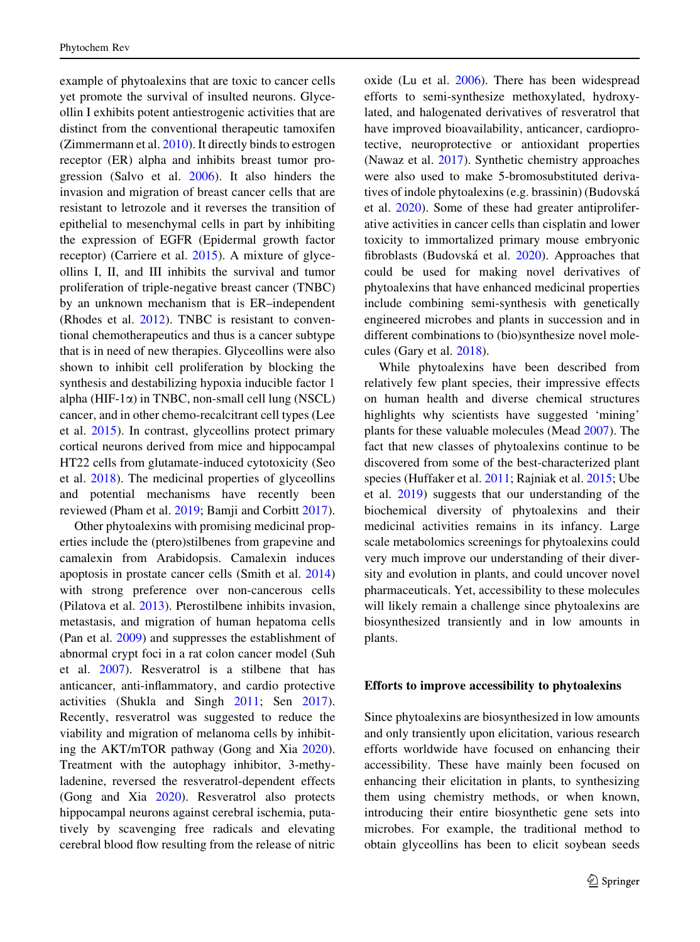example of phytoalexins that are toxic to cancer cells yet promote the survival of insulted neurons. Glyceollin I exhibits potent antiestrogenic activities that are distinct from the conventional therapeutic tamoxifen (Zimmermann et al. [2010](#page-22-0)). It directly binds to estrogen receptor (ER) alpha and inhibits breast tumor progression (Salvo et al. [2006\)](#page-20-0). It also hinders the invasion and migration of breast cancer cells that are resistant to letrozole and it reverses the transition of epithelial to mesenchymal cells in part by inhibiting the expression of EGFR (Epidermal growth factor receptor) (Carriere et al. [2015](#page-16-0)). A mixture of glyceollins I, II, and III inhibits the survival and tumor proliferation of triple-negative breast cancer (TNBC) by an unknown mechanism that is ER–independent (Rhodes et al. [2012](#page-20-0)). TNBC is resistant to conventional chemotherapeutics and thus is a cancer subtype that is in need of new therapies. Glyceollins were also shown to inhibit cell proliferation by blocking the synthesis and destabilizing hypoxia inducible factor 1 alpha (HIF-1 $\alpha$ ) in TNBC, non-small cell lung (NSCL) cancer, and in other chemo-recalcitrant cell types (Lee et al. [2015](#page-18-0)). In contrast, glyceollins protect primary cortical neurons derived from mice and hippocampal HT22 cells from glutamate-induced cytotoxicity (Seo et al. [2018\)](#page-20-0). The medicinal properties of glyceollins and potential mechanisms have recently been reviewed (Pham et al. [2019](#page-20-0); Bamji and Corbitt [2017](#page-15-0)).

Other phytoalexins with promising medicinal properties include the (ptero)stilbenes from grapevine and camalexin from Arabidopsis. Camalexin induces apoptosis in prostate cancer cells (Smith et al. [2014\)](#page-20-0) with strong preference over non-cancerous cells (Pilatova et al. [2013\)](#page-20-0). Pterostilbene inhibits invasion, metastasis, and migration of human hepatoma cells (Pan et al. [2009](#page-19-0)) and suppresses the establishment of abnormal crypt foci in a rat colon cancer model (Suh et al. [2007\)](#page-21-0). Resveratrol is a stilbene that has anticancer, anti-inflammatory, and cardio protective activities (Shukla and Singh [2011](#page-20-0); Sen [2017](#page-20-0)). Recently, resveratrol was suggested to reduce the viability and migration of melanoma cells by inhibiting the AKT/mTOR pathway (Gong and Xia [2020](#page-17-0)). Treatment with the autophagy inhibitor, 3-methyladenine, reversed the resveratrol-dependent effects (Gong and Xia [2020\)](#page-17-0). Resveratrol also protects hippocampal neurons against cerebral ischemia, putatively by scavenging free radicals and elevating cerebral blood flow resulting from the release of nitric

oxide (Lu et al. [2006\)](#page-19-0). There has been widespread efforts to semi-synthesize methoxylated, hydroxylated, and halogenated derivatives of resveratrol that have improved bioavailability, anticancer, cardioprotective, neuroprotective or antioxidant properties (Nawaz et al. [2017\)](#page-19-0). Synthetic chemistry approaches were also used to make 5-bromosubstituted derivatives of indole phytoalexins (e.g. brassinin) (Budovska´ et al. [2020](#page-16-0)). Some of these had greater antiproliferative activities in cancer cells than cisplatin and lower toxicity to immortalized primary mouse embryonic fibroblasts (Budovska´ et al. [2020](#page-16-0)). Approaches that could be used for making novel derivatives of phytoalexins that have enhanced medicinal properties include combining semi-synthesis with genetically engineered microbes and plants in succession and in different combinations to (bio)synthesize novel molecules (Gary et al. [2018\)](#page-17-0).

While phytoalexins have been described from relatively few plant species, their impressive effects on human health and diverse chemical structures highlights why scientists have suggested 'mining' plants for these valuable molecules (Mead [2007](#page-19-0)). The fact that new classes of phytoalexins continue to be discovered from some of the best-characterized plant species (Huffaker et al. [2011;](#page-17-0) Rajniak et al. [2015;](#page-20-0) Ube et al. [2019\)](#page-21-0) suggests that our understanding of the biochemical diversity of phytoalexins and their medicinal activities remains in its infancy. Large scale metabolomics screenings for phytoalexins could very much improve our understanding of their diversity and evolution in plants, and could uncover novel pharmaceuticals. Yet, accessibility to these molecules will likely remain a challenge since phytoalexins are biosynthesized transiently and in low amounts in plants.

#### Efforts to improve accessibility to phytoalexins

Since phytoalexins are biosynthesized in low amounts and only transiently upon elicitation, various research efforts worldwide have focused on enhancing their accessibility. These have mainly been focused on enhancing their elicitation in plants, to synthesizing them using chemistry methods, or when known, introducing their entire biosynthetic gene sets into microbes. For example, the traditional method to obtain glyceollins has been to elicit soybean seeds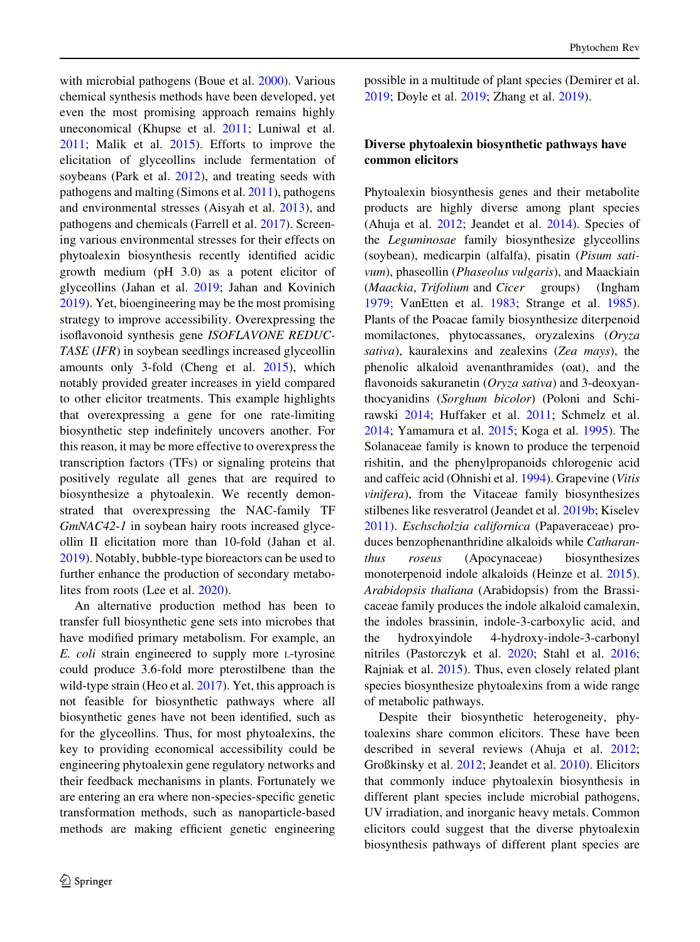with microbial pathogens (Boue et al. [2000\)](#page-16-0). Various chemical synthesis methods have been developed, yet even the most promising approach remains highly uneconomical (Khupse et al. [2011;](#page-18-0) Luniwal et al. [2011;](#page-19-0) Malik et al. [2015\)](#page-19-0). Efforts to improve the elicitation of glyceollins include fermentation of soybeans (Park et al. [2012\)](#page-19-0), and treating seeds with pathogens and malting (Simons et al. [2011\)](#page-20-0), pathogens and environmental stresses (Aisyah et al. [2013\)](#page-15-0), and pathogens and chemicals (Farrell et al. [2017](#page-16-0)). Screening various environmental stresses for their effects on phytoalexin biosynthesis recently identified acidic growth medium (pH 3.0) as a potent elicitor of glyceollins (Jahan et al. [2019;](#page-17-0) Jahan and Kovinich [2019\)](#page-17-0). Yet, bioengineering may be the most promising strategy to improve accessibility. Overexpressing the isoflavonoid synthesis gene ISOFLAVONE REDUC-TASE (IFR) in soybean seedlings increased glyceollin amounts only 3-fold (Cheng et al. [2015\)](#page-16-0), which notably provided greater increases in yield compared to other elicitor treatments. This example highlights that overexpressing a gene for one rate-limiting biosynthetic step indefinitely uncovers another. For this reason, it may be more effective to overexpress the transcription factors (TFs) or signaling proteins that positively regulate all genes that are required to biosynthesize a phytoalexin. We recently demonstrated that overexpressing the NAC-family TF GmNAC42-1 in soybean hairy roots increased glyceollin II elicitation more than 10-fold (Jahan et al. [2019\)](#page-17-0). Notably, bubble-type bioreactors can be used to further enhance the production of secondary metabolites from roots (Lee et al. [2020](#page-18-0)).

An alternative production method has been to transfer full biosynthetic gene sets into microbes that have modified primary metabolism. For example, an E. coli strain engineered to supply more L-tyrosine could produce 3.6-fold more pterostilbene than the wild-type strain (Heo et al. [2017\)](#page-17-0). Yet, this approach is not feasible for biosynthetic pathways where all biosynthetic genes have not been identified, such as for the glyceollins. Thus, for most phytoalexins, the key to providing economical accessibility could be engineering phytoalexin gene regulatory networks and their feedback mechanisms in plants. Fortunately we are entering an era where non-species-specific genetic transformation methods, such as nanoparticle-based methods are making efficient genetic engineering possible in a multitude of plant species (Demirer et al. [2019;](#page-16-0) Doyle et al. [2019](#page-16-0); Zhang et al. [2019\)](#page-21-0).

# Diverse phytoalexin biosynthetic pathways have common elicitors

Phytoalexin biosynthesis genes and their metabolite products are highly diverse among plant species (Ahuja et al. [2012;](#page-15-0) Jeandet et al. [2014\)](#page-18-0). Species of the Leguminosae family biosynthesize glyceollins (soybean), medicarpin (alfalfa), pisatin (Pisum sativum), phaseollin (Phaseolus vulgaris), and Maackiain (Maackia, Trifolium and Cicer groups) (Ingham [1979;](#page-17-0) VanEtten et al. [1983](#page-21-0); Strange et al. [1985](#page-21-0)). Plants of the Poacae family biosynthesize diterpenoid momilactones, phytocassanes, oryzalexins (Oryza sativa), kauralexins and zealexins (Zea mays), the phenolic alkaloid avenanthramides (oat), and the flavonoids sakuranetin (Oryza sativa) and 3-deoxyanthocyanidins (Sorghum bicolor) (Poloni and Schirawski [2014](#page-20-0); Huffaker et al. [2011](#page-17-0); Schmelz et al. [2014;](#page-20-0) Yamamura et al. [2015;](#page-21-0) Koga et al. [1995\)](#page-18-0). The Solanaceae family is known to produce the terpenoid rishitin, and the phenylpropanoids chlorogenic acid and caffeic acid (Ohnishi et al. [1994](#page-19-0)). Grapevine (Vitis vinifera), from the Vitaceae family biosynthesizes stilbenes like resveratrol (Jeandet et al. [2019b;](#page-18-0) Kiselev [2011\)](#page-18-0). Eschscholzia californica (Papaveraceae) produces benzophenanthridine alkaloids while Catharanthus roseus (Apocynaceae) biosynthesizes monoterpenoid indole alkaloids (Heinze et al. [2015](#page-17-0)). Arabidopsis thaliana (Arabidopsis) from the Brassicaceae family produces the indole alkaloid camalexin, the indoles brassinin, indole-3-carboxylic acid, and the hydroxyindole 4-hydroxy-indole-3-carbonyl nitriles (Pastorczyk et al. [2020](#page-19-0); Stahl et al. [2016](#page-21-0); Rajniak et al. [2015](#page-20-0)). Thus, even closely related plant species biosynthesize phytoalexins from a wide range of metabolic pathways.

Despite their biosynthetic heterogeneity, phytoalexins share common elicitors. These have been described in several reviews (Ahuja et al. [2012](#page-15-0); Großkinsky et al. [2012](#page-17-0); Jeandet et al. [2010\)](#page-18-0). Elicitors that commonly induce phytoalexin biosynthesis in different plant species include microbial pathogens, UV irradiation, and inorganic heavy metals. Common elicitors could suggest that the diverse phytoalexin biosynthesis pathways of different plant species are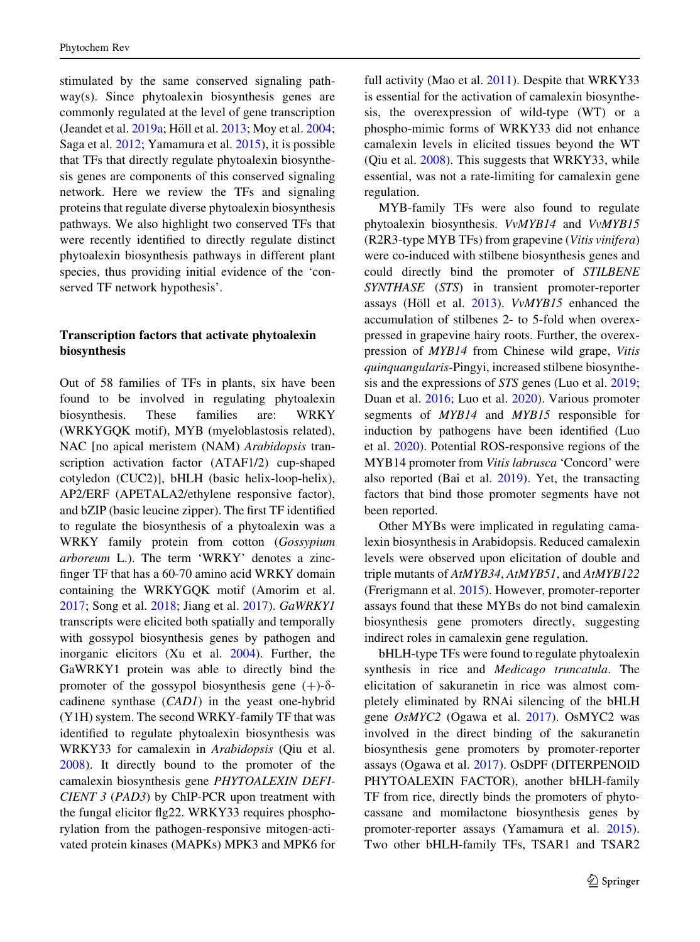stimulated by the same conserved signaling pathway(s). Since phytoalexin biosynthesis genes are commonly regulated at the level of gene transcription (Jeandet et al. [2019a;](#page-18-0) Höll et al. [2013;](#page-17-0) Moy et al. [2004](#page-19-0); Saga et al. [2012](#page-20-0); Yamamura et al. [2015](#page-21-0)), it is possible that TFs that directly regulate phytoalexin biosynthesis genes are components of this conserved signaling network. Here we review the TFs and signaling proteins that regulate diverse phytoalexin biosynthesis pathways. We also highlight two conserved TFs that were recently identified to directly regulate distinct phytoalexin biosynthesis pathways in different plant species, thus providing initial evidence of the 'conserved TF network hypothesis'.

# Transcription factors that activate phytoalexin biosynthesis

Out of 58 families of TFs in plants, six have been found to be involved in regulating phytoalexin biosynthesis. These families are: WRKY (WRKYGQK motif), MYB (myeloblastosis related), NAC [no apical meristem (NAM) Arabidopsis transcription activation factor (ATAF1/2) cup-shaped cotyledon (CUC2)], bHLH (basic helix-loop-helix), AP2/ERF (APETALA2/ethylene responsive factor), and bZIP (basic leucine zipper). The first TF identified to regulate the biosynthesis of a phytoalexin was a WRKY family protein from cotton (Gossypium arboreum L.). The term 'WRKY' denotes a zincfinger TF that has a 60-70 amino acid WRKY domain containing the WRKYGQK motif (Amorim et al. [2017;](#page-15-0) Song et al. [2018;](#page-21-0) Jiang et al. [2017\)](#page-18-0). GaWRKY1 transcripts were elicited both spatially and temporally with gossypol biosynthesis genes by pathogen and inorganic elicitors (Xu et al. [2004\)](#page-21-0). Further, the GaWRKY1 protein was able to directly bind the promoter of the gossypol biosynthesis gene  $(+)$ - $\delta$ cadinene synthase (CAD1) in the yeast one-hybrid (Y1H) system. The second WRKY-family TF that was identified to regulate phytoalexin biosynthesis was WRKY33 for camalexin in Arabidopsis (Qiu et al. [2008\)](#page-20-0). It directly bound to the promoter of the camalexin biosynthesis gene PHYTOALEXIN DEFI-CIENT 3 (PAD3) by ChIP-PCR upon treatment with the fungal elicitor flg22. WRKY33 requires phosphorylation from the pathogen-responsive mitogen-activated protein kinases (MAPKs) MPK3 and MPK6 for

full activity (Mao et al. [2011\)](#page-19-0). Despite that WRKY33 is essential for the activation of camalexin biosynthesis, the overexpression of wild-type (WT) or a phospho-mimic forms of WRKY33 did not enhance camalexin levels in elicited tissues beyond the WT (Qiu et al. [2008\)](#page-20-0). This suggests that WRKY33, while essential, was not a rate-limiting for camalexin gene regulation.

MYB-family TFs were also found to regulate phytoalexin biosynthesis. VvMYB14 and VvMYB15 (R2R3-type MYB TFs) from grapevine (Vitis vinifera) were co-induced with stilbene biosynthesis genes and could directly bind the promoter of STILBENE SYNTHASE (STS) in transient promoter-reporter assays (Höll et al.  $2013$ ). *VvMYB15* enhanced the accumulation of stilbenes 2- to 5-fold when overexpressed in grapevine hairy roots. Further, the overexpression of MYB14 from Chinese wild grape, Vitis quinquangularis-Pingyi, increased stilbene biosynthesis and the expressions of STS genes (Luo et al. [2019;](#page-19-0) Duan et al. [2016](#page-16-0); Luo et al. [2020](#page-19-0)). Various promoter segments of MYB14 and MYB15 responsible for induction by pathogens have been identified (Luo et al. [2020](#page-19-0)). Potential ROS-responsive regions of the MYB14 promoter from Vitis labrusca 'Concord' were also reported (Bai et al. [2019](#page-15-0)). Yet, the transacting factors that bind those promoter segments have not been reported.

Other MYBs were implicated in regulating camalexin biosynthesis in Arabidopsis. Reduced camalexin levels were observed upon elicitation of double and triple mutants of AtMYB34, AtMYB51, and AtMYB122 (Frerigmann et al. [2015\)](#page-17-0). However, promoter-reporter assays found that these MYBs do not bind camalexin biosynthesis gene promoters directly, suggesting indirect roles in camalexin gene regulation.

bHLH-type TFs were found to regulate phytoalexin synthesis in rice and Medicago truncatula. The elicitation of sakuranetin in rice was almost completely eliminated by RNAi silencing of the bHLH gene OsMYC2 (Ogawa et al. [2017](#page-19-0)). OsMYC2 was involved in the direct binding of the sakuranetin biosynthesis gene promoters by promoter-reporter assays (Ogawa et al. [2017](#page-19-0)). OsDPF (DITERPENOID PHYTOALEXIN FACTOR), another bHLH-family TF from rice, directly binds the promoters of phytocassane and momilactone biosynthesis genes by promoter-reporter assays (Yamamura et al. [2015](#page-21-0)). Two other bHLH-family TFs, TSAR1 and TSAR2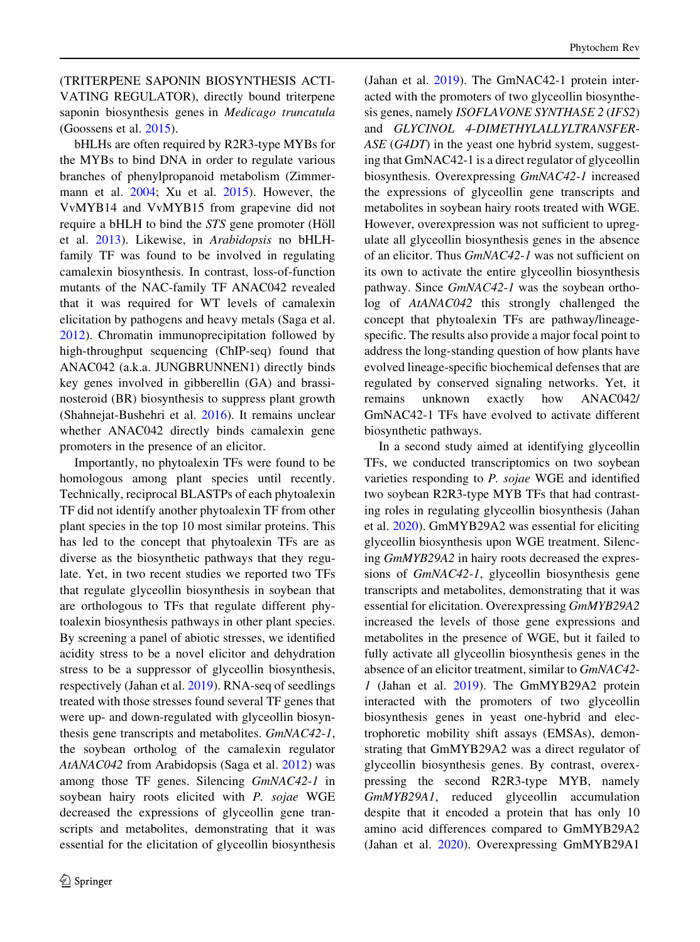(TRITERPENE SAPONIN BIOSYNTHESIS ACTI-VATING REGULATOR), directly bound triterpene saponin biosynthesis genes in Medicago truncatula (Goossens et al. [2015\)](#page-17-0).

bHLHs are often required by R2R3-type MYBs for the MYBs to bind DNA in order to regulate various branches of phenylpropanoid metabolism (Zimmermann et al. [2004;](#page-22-0) Xu et al. [2015\)](#page-21-0). However, the VvMYB14 and VvMYB15 from grapevine did not require a bHLH to bind the STS gene promoter (Höll et al. [2013\)](#page-17-0). Likewise, in Arabidopsis no bHLHfamily TF was found to be involved in regulating camalexin biosynthesis. In contrast, loss-of-function mutants of the NAC-family TF ANAC042 revealed that it was required for WT levels of camalexin elicitation by pathogens and heavy metals (Saga et al. [2012\)](#page-20-0). Chromatin immunoprecipitation followed by high-throughput sequencing (ChIP-seq) found that ANAC042 (a.k.a. JUNGBRUNNEN1) directly binds key genes involved in gibberellin (GA) and brassinosteroid (BR) biosynthesis to suppress plant growth (Shahnejat-Bushehri et al. [2016\)](#page-20-0). It remains unclear whether ANAC042 directly binds camalexin gene promoters in the presence of an elicitor.

Importantly, no phytoalexin TFs were found to be homologous among plant species until recently. Technically, reciprocal BLASTPs of each phytoalexin TF did not identify another phytoalexin TF from other plant species in the top 10 most similar proteins. This has led to the concept that phytoalexin TFs are as diverse as the biosynthetic pathways that they regulate. Yet, in two recent studies we reported two TFs that regulate glyceollin biosynthesis in soybean that are orthologous to TFs that regulate different phytoalexin biosynthesis pathways in other plant species. By screening a panel of abiotic stresses, we identified acidity stress to be a novel elicitor and dehydration stress to be a suppressor of glyceollin biosynthesis, respectively (Jahan et al. [2019\)](#page-17-0). RNA-seq of seedlings treated with those stresses found several TF genes that were up- and down-regulated with glyceollin biosynthesis gene transcripts and metabolites. GmNAC42-1, the soybean ortholog of the camalexin regulator AtANAC042 from Arabidopsis (Saga et al. [2012\)](#page-20-0) was among those TF genes. Silencing GmNAC42-1 in soybean hairy roots elicited with P. sojae WGE decreased the expressions of glyceollin gene transcripts and metabolites, demonstrating that it was essential for the elicitation of glyceollin biosynthesis (Jahan et al. [2019](#page-17-0)). The GmNAC42-1 protein interacted with the promoters of two glyceollin biosynthesis genes, namely ISOFLAVONE SYNTHASE 2 (IFS2) and GLYCINOL 4-DIMETHYLALLYLTRANSFER-ASE (G4DT) in the yeast one hybrid system, suggesting that GmNAC42-1 is a direct regulator of glyceollin biosynthesis. Overexpressing GmNAC42-1 increased the expressions of glyceollin gene transcripts and metabolites in soybean hairy roots treated with WGE. However, overexpression was not sufficient to upregulate all glyceollin biosynthesis genes in the absence of an elicitor. Thus GmNAC42-1 was not sufficient on its own to activate the entire glyceollin biosynthesis pathway. Since GmNAC42-1 was the soybean ortholog of AtANAC042 this strongly challenged the concept that phytoalexin TFs are pathway/lineagespecific. The results also provide a major focal point to address the long-standing question of how plants have evolved lineage-specific biochemical defenses that are regulated by conserved signaling networks. Yet, it remains unknown exactly how ANAC042/ GmNAC42-1 TFs have evolved to activate different biosynthetic pathways.

In a second study aimed at identifying glyceollin TFs, we conducted transcriptomics on two soybean varieties responding to P. sojae WGE and identified two soybean R2R3-type MYB TFs that had contrasting roles in regulating glyceollin biosynthesis (Jahan et al. [2020](#page-18-0)). GmMYB29A2 was essential for eliciting glyceollin biosynthesis upon WGE treatment. Silencing GmMYB29A2 in hairy roots decreased the expressions of GmNAC42-1, glyceollin biosynthesis gene transcripts and metabolites, demonstrating that it was essential for elicitation. Overexpressing GmMYB29A2 increased the levels of those gene expressions and metabolites in the presence of WGE, but it failed to fully activate all glyceollin biosynthesis genes in the absence of an elicitor treatment, similar to GmNAC42- 1 (Jahan et al. [2019\)](#page-17-0). The GmMYB29A2 protein interacted with the promoters of two glyceollin biosynthesis genes in yeast one-hybrid and electrophoretic mobility shift assays (EMSAs), demonstrating that GmMYB29A2 was a direct regulator of glyceollin biosynthesis genes. By contrast, overexpressing the second R2R3-type MYB, namely GmMYB29A1, reduced glyceollin accumulation despite that it encoded a protein that has only 10 amino acid differences compared to GmMYB29A2 (Jahan et al. [2020](#page-18-0)). Overexpressing GmMYB29A1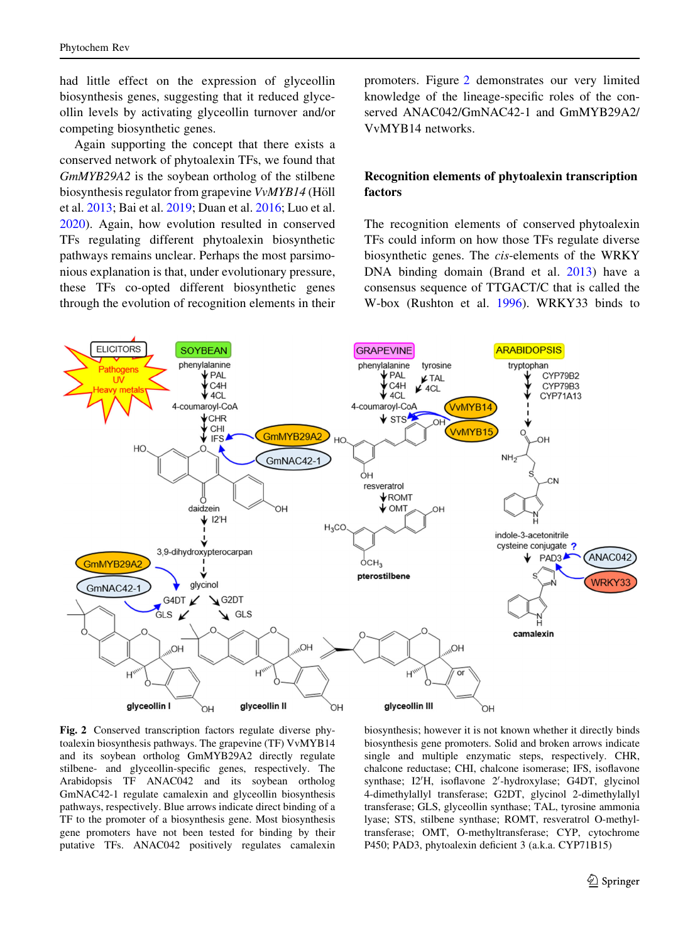had little effect on the expression of glyceollin biosynthesis genes, suggesting that it reduced glyceollin levels by activating glyceollin turnover and/or competing biosynthetic genes.

Again supporting the concept that there exists a conserved network of phytoalexin TFs, we found that GmMYB29A2 is the soybean ortholog of the stilbene biosynthesis regulator from grapevine VvMYB14 (Höll et al. [2013;](#page-17-0) Bai et al. [2019](#page-15-0); Duan et al. [2016;](#page-16-0) Luo et al. [2020\)](#page-19-0). Again, how evolution resulted in conserved TFs regulating different phytoalexin biosynthetic pathways remains unclear. Perhaps the most parsimonious explanation is that, under evolutionary pressure, these TFs co-opted different biosynthetic genes through the evolution of recognition elements in their promoters. Figure 2 demonstrates our very limited knowledge of the lineage-specific roles of the conserved ANAC042/GmNAC42-1 and GmMYB29A2/ VvMYB14 networks.

# Recognition elements of phytoalexin transcription factors

The recognition elements of conserved phytoalexin TFs could inform on how those TFs regulate diverse biosynthetic genes. The cis-elements of the WRKY DNA binding domain (Brand et al. [2013](#page-16-0)) have a consensus sequence of TTGACT/C that is called the W-box (Rushton et al. [1996](#page-20-0)). WRKY33 binds to



Fig. 2 Conserved transcription factors regulate diverse phytoalexin biosynthesis pathways. The grapevine (TF) VvMYB14 and its soybean ortholog GmMYB29A2 directly regulate stilbene- and glyceollin-specific genes, respectively. The Arabidopsis TF ANAC042 and its soybean ortholog GmNAC42-1 regulate camalexin and glyceollin biosynthesis pathways, respectively. Blue arrows indicate direct binding of a TF to the promoter of a biosynthesis gene. Most biosynthesis gene promoters have not been tested for binding by their putative TFs. ANAC042 positively regulates camalexin

biosynthesis; however it is not known whether it directly binds biosynthesis gene promoters. Solid and broken arrows indicate single and multiple enzymatic steps, respectively. CHR, chalcone reductase; CHI, chalcone isomerase; IFS, isoflavone synthase; I2'H, isoflavone 2'-hydroxylase; G4DT, glycinol 4-dimethylallyl transferase; G2DT, glycinol 2-dimethylallyl transferase; GLS, glyceollin synthase; TAL, tyrosine ammonia lyase; STS, stilbene synthase; ROMT, resveratrol O-methyltransferase; OMT, O-methyltransferase; CYP, cytochrome P450; PAD3, phytoalexin deficient 3 (a.k.a. CYP71B15)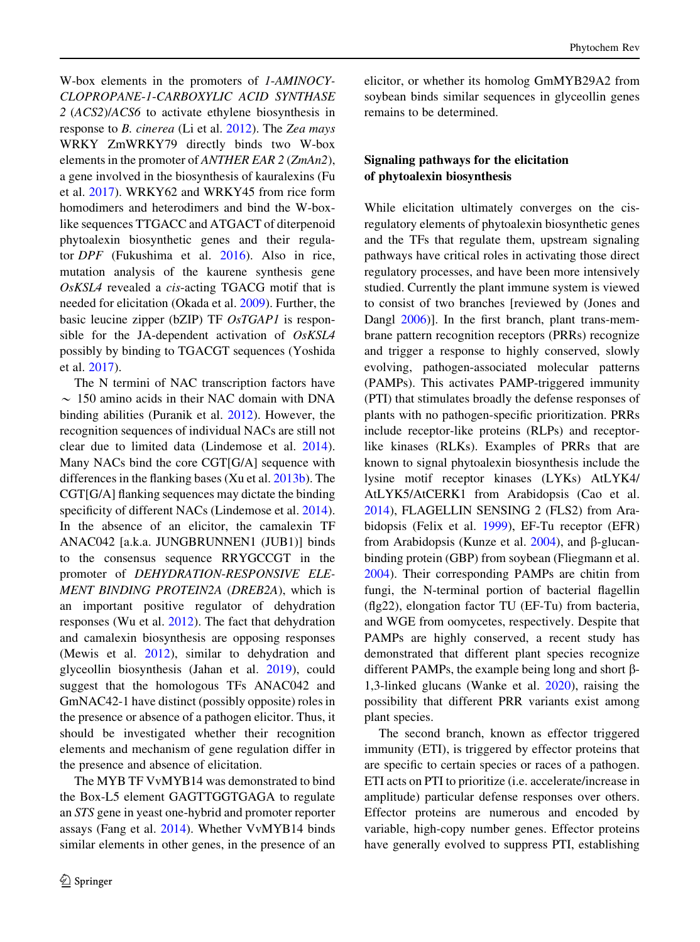W-box elements in the promoters of 1-AMINOCY-CLOPROPANE-1-CARBOXYLIC ACID SYNTHASE 2 (ACS2)/ACS6 to activate ethylene biosynthesis in response to B. cinerea (Li et al. [2012\)](#page-18-0). The Zea mays WRKY ZmWRKY79 directly binds two W-box elements in the promoter of ANTHER EAR 2 (ZmAn2), a gene involved in the biosynthesis of kauralexins (Fu et al. [2017\)](#page-17-0). WRKY62 and WRKY45 from rice form homodimers and heterodimers and bind the W-boxlike sequences TTGACC and ATGACT of diterpenoid phytoalexin biosynthetic genes and their regulator DPF (Fukushima et al. [2016](#page-17-0)). Also in rice, mutation analysis of the kaurene synthesis gene OsKSL4 revealed a cis-acting TGACG motif that is needed for elicitation (Okada et al. [2009](#page-19-0)). Further, the basic leucine zipper (bZIP) TF OsTGAP1 is responsible for the JA-dependent activation of OsKSL4 possibly by binding to TGACGT sequences (Yoshida et al. [2017](#page-21-0)).

The N termini of NAC transcription factors have  $\sim$  150 amino acids in their NAC domain with DNA binding abilities (Puranik et al. [2012](#page-20-0)). However, the recognition sequences of individual NACs are still not clear due to limited data (Lindemose et al. [2014](#page-18-0)). Many NACs bind the core CGT[G/A] sequence with differences in the flanking bases (Xu et al. [2013b\)](#page-21-0). The CGT[G/A] flanking sequences may dictate the binding specificity of different NACs (Lindemose et al. [2014](#page-18-0)). In the absence of an elicitor, the camalexin TF ANAC042 [a.k.a. JUNGBRUNNEN1 (JUB1)] binds to the consensus sequence RRYGCCGT in the promoter of DEHYDRATION-RESPONSIVE ELE-MENT BINDING PROTEIN2A (DREB2A), which is an important positive regulator of dehydration responses (Wu et al. [2012\)](#page-21-0). The fact that dehydration and camalexin biosynthesis are opposing responses (Mewis et al. [2012](#page-19-0)), similar to dehydration and glyceollin biosynthesis (Jahan et al. [2019](#page-17-0)), could suggest that the homologous TFs ANAC042 and GmNAC42-1 have distinct (possibly opposite) roles in the presence or absence of a pathogen elicitor. Thus, it should be investigated whether their recognition elements and mechanism of gene regulation differ in the presence and absence of elicitation.

The MYB TF VvMYB14 was demonstrated to bind the Box-L5 element GAGTTGGTGAGA to regulate an STS gene in yeast one-hybrid and promoter reporter assays (Fang et al. [2014\)](#page-16-0). Whether VvMYB14 binds similar elements in other genes, in the presence of an elicitor, or whether its homolog GmMYB29A2 from soybean binds similar sequences in glyceollin genes remains to be determined.

# Signaling pathways for the elicitation of phytoalexin biosynthesis

While elicitation ultimately converges on the cisregulatory elements of phytoalexin biosynthetic genes and the TFs that regulate them, upstream signaling pathways have critical roles in activating those direct regulatory processes, and have been more intensively studied. Currently the plant immune system is viewed to consist of two branches [reviewed by (Jones and Dangl [2006\)](#page-18-0)]. In the first branch, plant trans-membrane pattern recognition receptors (PRRs) recognize and trigger a response to highly conserved, slowly evolving, pathogen-associated molecular patterns (PAMPs). This activates PAMP-triggered immunity (PTI) that stimulates broadly the defense responses of plants with no pathogen-specific prioritization. PRRs include receptor-like proteins (RLPs) and receptorlike kinases (RLKs). Examples of PRRs that are known to signal phytoalexin biosynthesis include the lysine motif receptor kinases (LYKs) AtLYK4/ AtLYK5/AtCERK1 from Arabidopsis (Cao et al. [2014\)](#page-16-0), FLAGELLIN SENSING 2 (FLS2) from Arabidopsis (Felix et al. [1999](#page-16-0)), EF-Tu receptor (EFR) from Arabidopsis (Kunze et al.  $2004$ ), and  $\beta$ -glucanbinding protein (GBP) from soybean (Fliegmann et al. [2004\)](#page-16-0). Their corresponding PAMPs are chitin from fungi, the N-terminal portion of bacterial flagellin (flg22), elongation factor TU (EF-Tu) from bacteria, and WGE from oomycetes, respectively. Despite that PAMPs are highly conserved, a recent study has demonstrated that different plant species recognize different PAMPs, the example being long and short  $\beta$ -1,3-linked glucans (Wanke et al. [2020](#page-21-0)), raising the possibility that different PRR variants exist among plant species.

The second branch, known as effector triggered immunity (ETI), is triggered by effector proteins that are specific to certain species or races of a pathogen. ETI acts on PTI to prioritize (i.e. accelerate/increase in amplitude) particular defense responses over others. Effector proteins are numerous and encoded by variable, high-copy number genes. Effector proteins have generally evolved to suppress PTI, establishing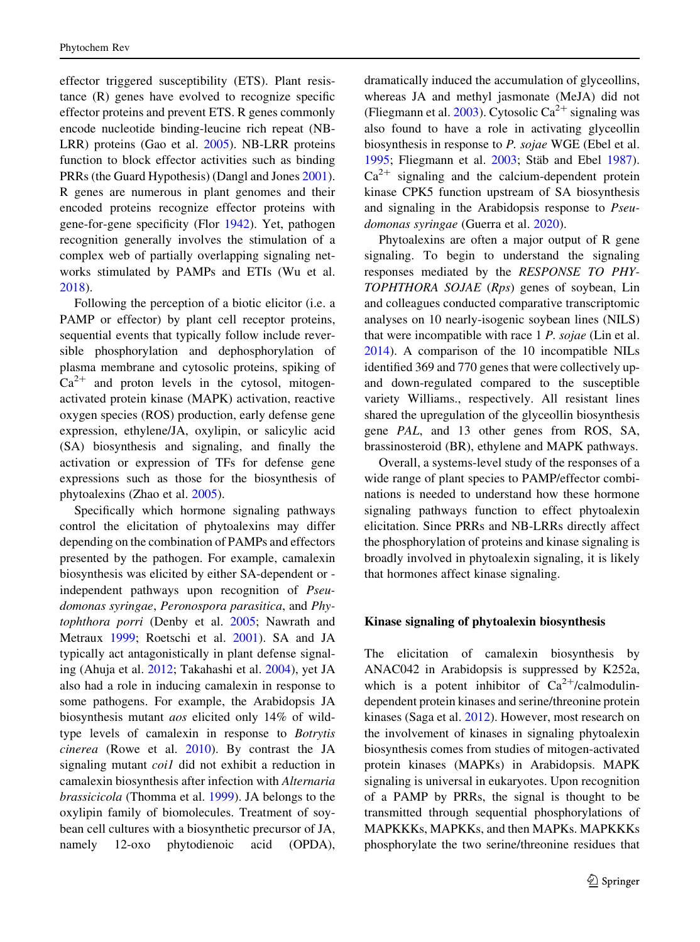effector triggered susceptibility (ETS). Plant resistance (R) genes have evolved to recognize specific effector proteins and prevent ETS. R genes commonly encode nucleotide binding-leucine rich repeat (NB-LRR) proteins (Gao et al. [2005](#page-17-0)). NB-LRR proteins function to block effector activities such as binding PRRs (the Guard Hypothesis) (Dangl and Jones [2001](#page-16-0)). R genes are numerous in plant genomes and their encoded proteins recognize effector proteins with gene-for-gene specificity (Flor [1942](#page-16-0)). Yet, pathogen recognition generally involves the stimulation of a complex web of partially overlapping signaling networks stimulated by PAMPs and ETIs (Wu et al. [2018\)](#page-21-0).

Following the perception of a biotic elicitor (i.e. a PAMP or effector) by plant cell receptor proteins, sequential events that typically follow include reversible phosphorylation and dephosphorylation of plasma membrane and cytosolic proteins, spiking of  $Ca^{2+}$  and proton levels in the cytosol, mitogenactivated protein kinase (MAPK) activation, reactive oxygen species (ROS) production, early defense gene expression, ethylene/JA, oxylipin, or salicylic acid (SA) biosynthesis and signaling, and finally the activation or expression of TFs for defense gene expressions such as those for the biosynthesis of phytoalexins (Zhao et al. [2005](#page-21-0)).

Specifically which hormone signaling pathways control the elicitation of phytoalexins may differ depending on the combination of PAMPs and effectors presented by the pathogen. For example, camalexin biosynthesis was elicited by either SA-dependent or independent pathways upon recognition of Pseudomonas syringae, Peronospora parasitica, and Phytophthora porri (Denby et al. [2005;](#page-16-0) Nawrath and Metraux [1999;](#page-19-0) Roetschi et al. [2001](#page-20-0)). SA and JA typically act antagonistically in plant defense signaling (Ahuja et al. [2012](#page-15-0); Takahashi et al. [2004\)](#page-21-0), yet JA also had a role in inducing camalexin in response to some pathogens. For example, the Arabidopsis JA biosynthesis mutant aos elicited only 14% of wildtype levels of camalexin in response to Botrytis cinerea (Rowe et al. [2010](#page-20-0)). By contrast the JA signaling mutant coi1 did not exhibit a reduction in camalexin biosynthesis after infection with Alternaria brassicicola (Thomma et al. [1999](#page-21-0)). JA belongs to the oxylipin family of biomolecules. Treatment of soybean cell cultures with a biosynthetic precursor of JA, namely 12-oxo phytodienoic acid (OPDA),

dramatically induced the accumulation of glyceollins, whereas JA and methyl jasmonate (MeJA) did not (Fliegmann et al. [2003\)](#page-16-0). Cytosolic  $Ca^{2+}$  signaling was also found to have a role in activating glyceollin biosynthesis in response to P. sojae WGE (Ebel et al. [1995;](#page-16-0) Fliegmann et al. [2003](#page-16-0); Stäb and Ebel [1987](#page-21-0)).  $Ca<sup>2+</sup>$  signaling and the calcium-dependent protein kinase CPK5 function upstream of SA biosynthesis and signaling in the Arabidopsis response to Pseudomonas syringae (Guerra et al. [2020](#page-17-0)).

Phytoalexins are often a major output of R gene signaling. To begin to understand the signaling responses mediated by the RESPONSE TO PHY-TOPHTHORA SOJAE (Rps) genes of soybean, Lin and colleagues conducted comparative transcriptomic analyses on 10 nearly-isogenic soybean lines (NILS) that were incompatible with race 1 P. sojae (Lin et al. [2014\)](#page-18-0). A comparison of the 10 incompatible NILs identified 369 and 770 genes that were collectively upand down-regulated compared to the susceptible variety Williams., respectively. All resistant lines shared the upregulation of the glyceollin biosynthesis gene PAL, and 13 other genes from ROS, SA, brassinosteroid (BR), ethylene and MAPK pathways.

Overall, a systems-level study of the responses of a wide range of plant species to PAMP/effector combinations is needed to understand how these hormone signaling pathways function to effect phytoalexin elicitation. Since PRRs and NB-LRRs directly affect the phosphorylation of proteins and kinase signaling is broadly involved in phytoalexin signaling, it is likely that hormones affect kinase signaling.

#### Kinase signaling of phytoalexin biosynthesis

The elicitation of camalexin biosynthesis by ANAC042 in Arabidopsis is suppressed by K252a, which is a potent inhibitor of  $Ca^{2+}/cal$ calmodulindependent protein kinases and serine/threonine protein kinases (Saga et al. [2012](#page-20-0)). However, most research on the involvement of kinases in signaling phytoalexin biosynthesis comes from studies of mitogen-activated protein kinases (MAPKs) in Arabidopsis. MAPK signaling is universal in eukaryotes. Upon recognition of a PAMP by PRRs, the signal is thought to be transmitted through sequential phosphorylations of MAPKKKs, MAPKKs, and then MAPKs. MAPKKKs phosphorylate the two serine/threonine residues that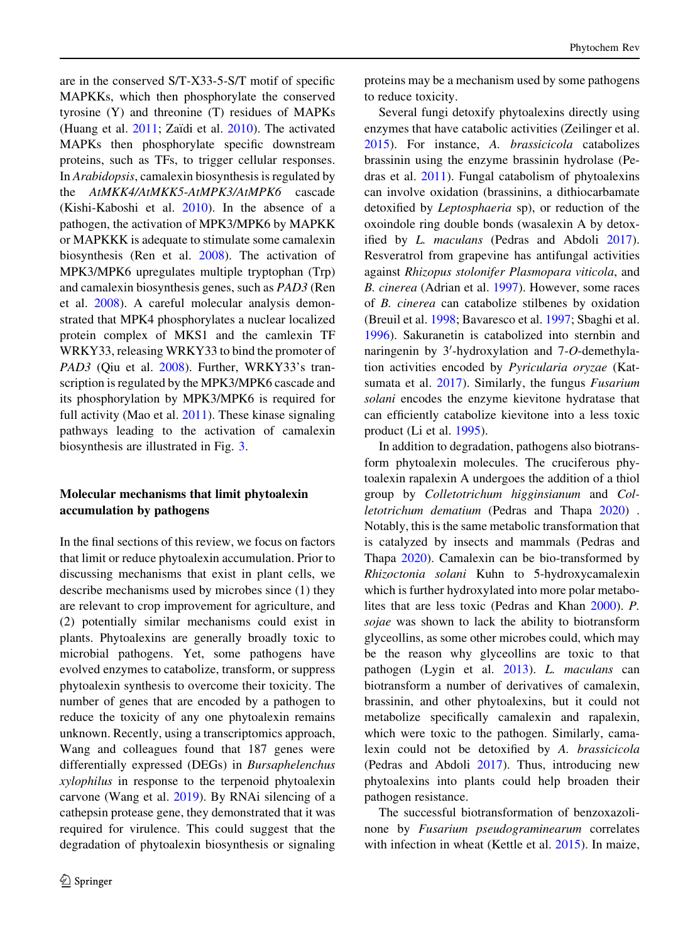are in the conserved S/T-X33-5-S/T motif of specific MAPKKs, which then phosphorylate the conserved tyrosine (Y) and threonine (T) residues of MAPKs (Huang et al.  $2011$ ; Zaïdi et al.  $2010$ ). The activated MAPKs then phosphorylate specific downstream proteins, such as TFs, to trigger cellular responses. In Arabidopsis, camalexin biosynthesis is regulated by the AtMKK4/AtMKK5-AtMPK3/AtMPK6 cascade (Kishi-Kaboshi et al. [2010\)](#page-18-0). In the absence of a pathogen, the activation of MPK3/MPK6 by MAPKK or MAPKKK is adequate to stimulate some camalexin biosynthesis (Ren et al. [2008\)](#page-20-0). The activation of MPK3/MPK6 upregulates multiple tryptophan (Trp) and camalexin biosynthesis genes, such as PAD3 (Ren et al. [2008\)](#page-20-0). A careful molecular analysis demonstrated that MPK4 phosphorylates a nuclear localized protein complex of MKS1 and the camlexin TF WRKY33, releasing WRKY33 to bind the promoter of PAD3 (Qiu et al. [2008](#page-20-0)). Further, WRKY33's transcription is regulated by the MPK3/MPK6 cascade and its phosphorylation by MPK3/MPK6 is required for full activity (Mao et al. [2011](#page-19-0)). These kinase signaling pathways leading to the activation of camalexin biosynthesis are illustrated in Fig. [3.](#page-12-0)

# Molecular mechanisms that limit phytoalexin accumulation by pathogens

In the final sections of this review, we focus on factors that limit or reduce phytoalexin accumulation. Prior to discussing mechanisms that exist in plant cells, we describe mechanisms used by microbes since (1) they are relevant to crop improvement for agriculture, and (2) potentially similar mechanisms could exist in plants. Phytoalexins are generally broadly toxic to microbial pathogens. Yet, some pathogens have evolved enzymes to catabolize, transform, or suppress phytoalexin synthesis to overcome their toxicity. The number of genes that are encoded by a pathogen to reduce the toxicity of any one phytoalexin remains unknown. Recently, using a transcriptomics approach, Wang and colleagues found that 187 genes were differentially expressed (DEGs) in Bursaphelenchus xylophilus in response to the terpenoid phytoalexin carvone (Wang et al. [2019\)](#page-21-0). By RNAi silencing of a cathepsin protease gene, they demonstrated that it was required for virulence. This could suggest that the degradation of phytoalexin biosynthesis or signaling proteins may be a mechanism used by some pathogens to reduce toxicity.

Several fungi detoxify phytoalexins directly using enzymes that have catabolic activities (Zeilinger et al. [2015\)](#page-21-0). For instance, A. brassicicola catabolizes brassinin using the enzyme brassinin hydrolase (Pedras et al. [2011](#page-20-0)). Fungal catabolism of phytoalexins can involve oxidation (brassinins, a dithiocarbamate detoxified by Leptosphaeria sp), or reduction of the oxoindole ring double bonds (wasalexin A by detoxified by L. maculans (Pedras and Abdoli [2017](#page-20-0)). Resveratrol from grapevine has antifungal activities against Rhizopus stolonifer Plasmopara viticola, and B. cinerea (Adrian et al. [1997](#page-15-0)). However, some races of B. cinerea can catabolize stilbenes by oxidation (Breuil et al. [1998;](#page-16-0) Bavaresco et al. [1997](#page-15-0); Sbaghi et al. [1996\)](#page-20-0). Sakuranetin is catabolized into sternbin and naringenin by  $3'$ -hydroxylation and  $7$ -O-demethylation activities encoded by Pyricularia oryzae (Kat-sumata et al. [2017\)](#page-18-0). Similarly, the fungus Fusarium solani encodes the enzyme kievitone hydratase that can efficiently catabolize kievitone into a less toxic product (Li et al. [1995\)](#page-18-0).

In addition to degradation, pathogens also biotransform phytoalexin molecules. The cruciferous phytoalexin rapalexin A undergoes the addition of a thiol group by Colletotrichum higginsianum and Colletotrichum dematium (Pedras and Thapa [2020\)](#page-20-0) . Notably, this is the same metabolic transformation that is catalyzed by insects and mammals (Pedras and Thapa [2020\)](#page-20-0). Camalexin can be bio-transformed by Rhizoctonia solani Kuhn to 5-hydroxycamalexin which is further hydroxylated into more polar metabolites that are less toxic (Pedras and Khan [2000\)](#page-20-0). P. sojae was shown to lack the ability to biotransform glyceollins, as some other microbes could, which may be the reason why glyceollins are toxic to that pathogen (Lygin et al. [2013\)](#page-19-0). L. maculans can biotransform a number of derivatives of camalexin, brassinin, and other phytoalexins, but it could not metabolize specifically camalexin and rapalexin, which were toxic to the pathogen. Similarly, camalexin could not be detoxified by A. brassicicola (Pedras and Abdoli [2017](#page-20-0)). Thus, introducing new phytoalexins into plants could help broaden their pathogen resistance.

The successful biotransformation of benzoxazolinone by Fusarium pseudograminearum correlates with infection in wheat (Kettle et al. [2015](#page-18-0)). In maize,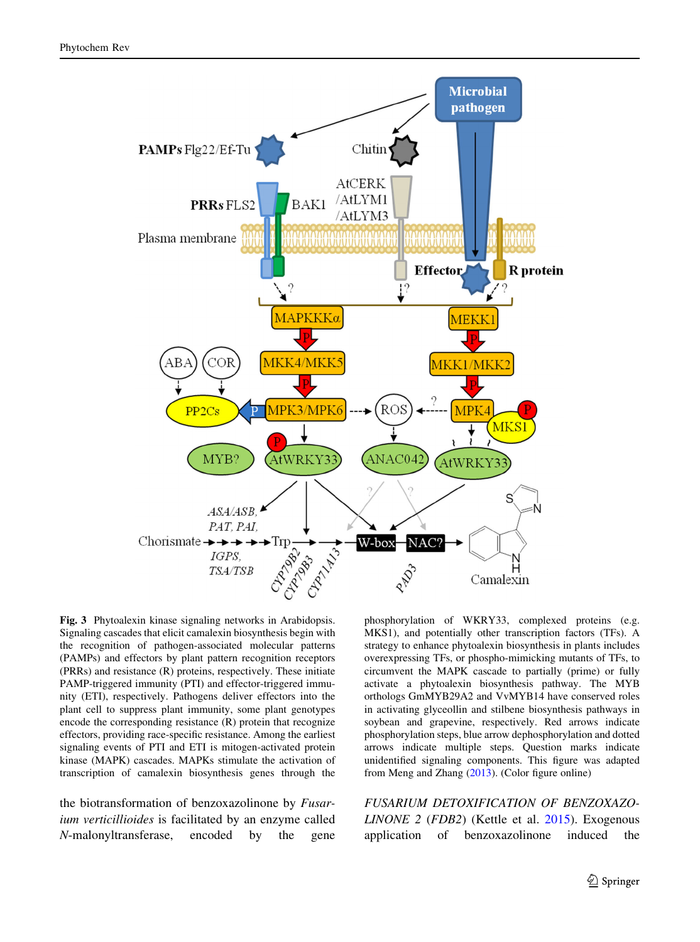<span id="page-12-0"></span>

Fig. 3 Phytoalexin kinase signaling networks in Arabidopsis. Signaling cascades that elicit camalexin biosynthesis begin with the recognition of pathogen-associated molecular patterns (PAMPs) and effectors by plant pattern recognition receptors (PRRs) and resistance (R) proteins, respectively. These initiate PAMP-triggered immunity (PTI) and effector-triggered immunity (ETI), respectively. Pathogens deliver effectors into the plant cell to suppress plant immunity, some plant genotypes encode the corresponding resistance (R) protein that recognize effectors, providing race-specific resistance. Among the earliest signaling events of PTI and ETI is mitogen-activated protein kinase (MAPK) cascades. MAPKs stimulate the activation of transcription of camalexin biosynthesis genes through the

the biotransformation of benzoxazolinone by Fusarium verticillioides is facilitated by an enzyme called N-malonyltransferase, encoded by the gene phosphorylation of WKRY33, complexed proteins (e.g. MKS1), and potentially other transcription factors (TFs). A strategy to enhance phytoalexin biosynthesis in plants includes overexpressing TFs, or phospho-mimicking mutants of TFs, to circumvent the MAPK cascade to partially (prime) or fully activate a phytoalexin biosynthesis pathway. The MYB orthologs GmMYB29A2 and VvMYB14 have conserved roles in activating glyceollin and stilbene biosynthesis pathways in soybean and grapevine, respectively. Red arrows indicate phosphorylation steps, blue arrow dephosphorylation and dotted arrows indicate multiple steps. Question marks indicate unidentified signaling components. This figure was adapted from Meng and Zhang [\(2013](#page-19-0)). (Color figure online)

FUSARIUM DETOXIFICATION OF BENZOXAZO-LINONE 2 (FDB2) (Kettle et al. [2015](#page-18-0)). Exogenous application of benzoxazolinone induced the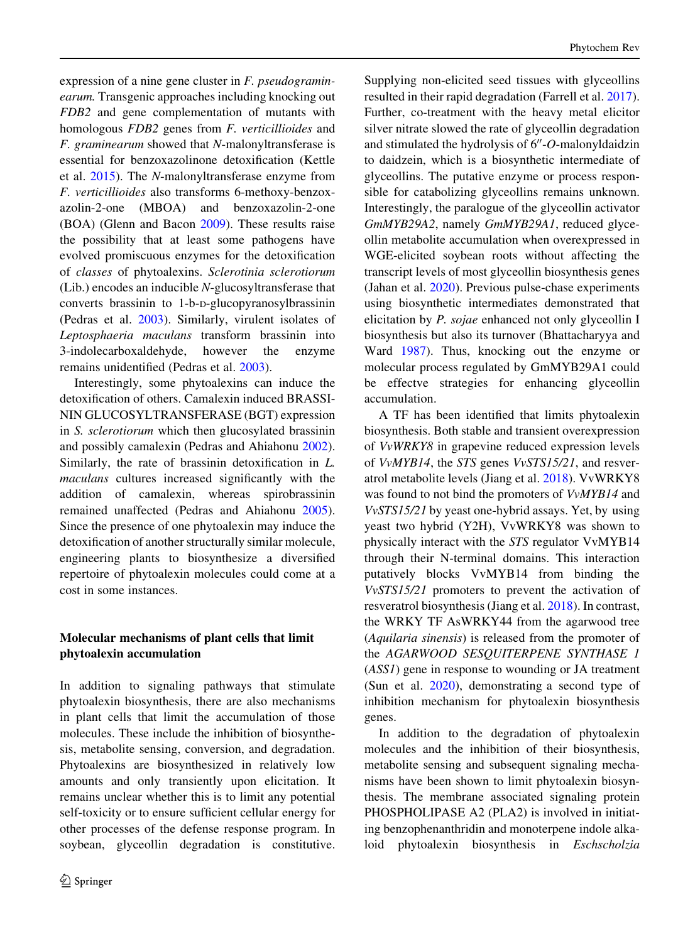expression of a nine gene cluster in F. pseudograminearum. Transgenic approaches including knocking out FDB2 and gene complementation of mutants with homologous FDB2 genes from F. verticillioides and F. graminearum showed that N-malonyltransferase is essential for benzoxazolinone detoxification (Kettle et al. [2015](#page-18-0)). The N-malonyltransferase enzyme from F. verticillioides also transforms 6-methoxy-benzoxazolin-2-one (MBOA) and benzoxazolin-2-one (BOA) (Glenn and Bacon [2009\)](#page-17-0). These results raise the possibility that at least some pathogens have evolved promiscuous enzymes for the detoxification of classes of phytoalexins. Sclerotinia sclerotiorum (Lib.) encodes an inducible N-glucosyltransferase that converts brassinin to 1-b-D-glucopyranosylbrassinin (Pedras et al. [2003](#page-20-0)). Similarly, virulent isolates of Leptosphaeria maculans transform brassinin into 3-indolecarboxaldehyde, however the enzyme remains unidentified (Pedras et al. [2003](#page-20-0)).

Interestingly, some phytoalexins can induce the detoxification of others. Camalexin induced BRASSI-NIN GLUCOSYLTRANSFERASE (BGT) expression in S. sclerotiorum which then glucosylated brassinin and possibly camalexin (Pedras and Ahiahonu [2002](#page-20-0)). Similarly, the rate of brassinin detoxification in L. maculans cultures increased significantly with the addition of camalexin, whereas spirobrassinin remained unaffected (Pedras and Ahiahonu [2005](#page-20-0)). Since the presence of one phytoalexin may induce the detoxification of another structurally similar molecule, engineering plants to biosynthesize a diversified repertoire of phytoalexin molecules could come at a cost in some instances.

# Molecular mechanisms of plant cells that limit phytoalexin accumulation

In addition to signaling pathways that stimulate phytoalexin biosynthesis, there are also mechanisms in plant cells that limit the accumulation of those molecules. These include the inhibition of biosynthesis, metabolite sensing, conversion, and degradation. Phytoalexins are biosynthesized in relatively low amounts and only transiently upon elicitation. It remains unclear whether this is to limit any potential self-toxicity or to ensure sufficient cellular energy for other processes of the defense response program. In soybean, glyceollin degradation is constitutive.

Supplying non-elicited seed tissues with glyceollins resulted in their rapid degradation (Farrell et al. [2017](#page-16-0)). Further, co-treatment with the heavy metal elicitor silver nitrate slowed the rate of glyceollin degradation and stimulated the hydrolysis of  $6''$ -O-malonyldaidzin to daidzein, which is a biosynthetic intermediate of glyceollins. The putative enzyme or process responsible for catabolizing glyceollins remains unknown. Interestingly, the paralogue of the glyceollin activator GmMYB29A2, namely GmMYB29A1, reduced glyceollin metabolite accumulation when overexpressed in WGE-elicited soybean roots without affecting the transcript levels of most glyceollin biosynthesis genes (Jahan et al. [2020\)](#page-18-0). Previous pulse-chase experiments using biosynthetic intermediates demonstrated that elicitation by P. sojae enhanced not only glyceollin I biosynthesis but also its turnover (Bhattacharyya and Ward [1987](#page-16-0)). Thus, knocking out the enzyme or molecular process regulated by GmMYB29A1 could be effectve strategies for enhancing glyceollin accumulation.

A TF has been identified that limits phytoalexin biosynthesis. Both stable and transient overexpression of VvWRKY8 in grapevine reduced expression levels of VvMYB14, the STS genes VvSTS15/21, and resveratrol metabolite levels (Jiang et al. [2018\)](#page-18-0). VvWRKY8 was found to not bind the promoters of VvMYB14 and VvSTS15/21 by yeast one-hybrid assays. Yet, by using yeast two hybrid (Y2H), VvWRKY8 was shown to physically interact with the STS regulator VvMYB14 through their N-terminal domains. This interaction putatively blocks VvMYB14 from binding the VvSTS15/21 promoters to prevent the activation of resveratrol biosynthesis (Jiang et al. [2018](#page-18-0)). In contrast, the WRKY TF AsWRKY44 from the agarwood tree (Aquilaria sinensis) is released from the promoter of the AGARWOOD SESQUITERPENE SYNTHASE 1 (ASS1) gene in response to wounding or JA treatment (Sun et al. [2020\)](#page-21-0), demonstrating a second type of inhibition mechanism for phytoalexin biosynthesis genes.

In addition to the degradation of phytoalexin molecules and the inhibition of their biosynthesis, metabolite sensing and subsequent signaling mechanisms have been shown to limit phytoalexin biosynthesis. The membrane associated signaling protein PHOSPHOLIPASE A2 (PLA2) is involved in initiating benzophenanthridin and monoterpene indole alkaloid phytoalexin biosynthesis in Eschscholzia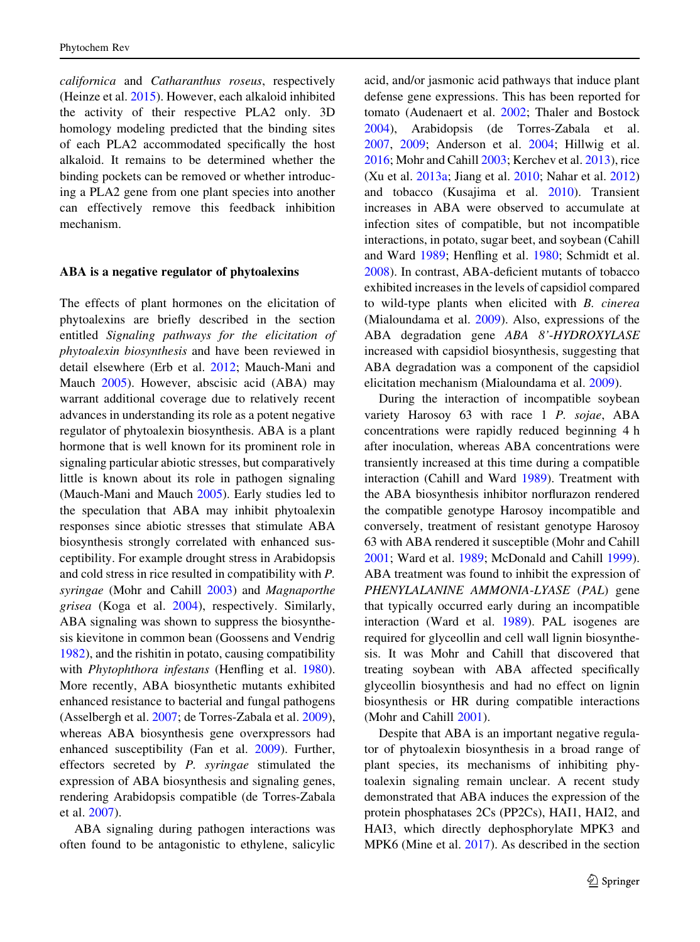californica and Catharanthus roseus, respectively (Heinze et al. [2015](#page-17-0)). However, each alkaloid inhibited the activity of their respective PLA2 only. 3D homology modeling predicted that the binding sites of each PLA2 accommodated specifically the host alkaloid. It remains to be determined whether the binding pockets can be removed or whether introducing a PLA2 gene from one plant species into another can effectively remove this feedback inhibition mechanism.

#### ABA is a negative regulator of phytoalexins

The effects of plant hormones on the elicitation of phytoalexins are briefly described in the section entitled Signaling pathways for the elicitation of phytoalexin biosynthesis and have been reviewed in detail elsewhere (Erb et al. [2012;](#page-16-0) Mauch-Mani and Mauch [2005](#page-19-0)). However, abscisic acid (ABA) may warrant additional coverage due to relatively recent advances in understanding its role as a potent negative regulator of phytoalexin biosynthesis. ABA is a plant hormone that is well known for its prominent role in signaling particular abiotic stresses, but comparatively little is known about its role in pathogen signaling (Mauch-Mani and Mauch [2005](#page-19-0)). Early studies led to the speculation that ABA may inhibit phytoalexin responses since abiotic stresses that stimulate ABA biosynthesis strongly correlated with enhanced susceptibility. For example drought stress in Arabidopsis and cold stress in rice resulted in compatibility with P. syringae (Mohr and Cahill [2003\)](#page-19-0) and Magnaporthe grisea (Koga et al. [2004](#page-18-0)), respectively. Similarly, ABA signaling was shown to suppress the biosynthesis kievitone in common bean (Goossens and Vendrig [1982\)](#page-17-0), and the rishitin in potato, causing compatibility with Phytophthora infestans (Henfling et al. [1980](#page-17-0)). More recently, ABA biosynthetic mutants exhibited enhanced resistance to bacterial and fungal pathogens (Asselbergh et al. [2007;](#page-15-0) de Torres-Zabala et al. [2009](#page-16-0)), whereas ABA biosynthesis gene overxpressors had enhanced susceptibility (Fan et al. [2009](#page-16-0)). Further, effectors secreted by P. syringae stimulated the expression of ABA biosynthesis and signaling genes, rendering Arabidopsis compatible (de Torres-Zabala et al. [2007](#page-16-0)).

ABA signaling during pathogen interactions was often found to be antagonistic to ethylene, salicylic acid, and/or jasmonic acid pathways that induce plant defense gene expressions. This has been reported for tomato (Audenaert et al. [2002;](#page-15-0) Thaler and Bostock [2004\)](#page-21-0), Arabidopsis (de Torres-Zabala et al. [2007,](#page-16-0) [2009;](#page-16-0) Anderson et al. [2004](#page-15-0); Hillwig et al. [2016;](#page-17-0) Mohr and Cahill [2003](#page-19-0); Kerchev et al. [2013\)](#page-18-0), rice (Xu et al. [2013a](#page-21-0); Jiang et al. [2010;](#page-18-0) Nahar et al. [2012\)](#page-19-0) and tobacco (Kusajima et al. [2010\)](#page-18-0). Transient increases in ABA were observed to accumulate at infection sites of compatible, but not incompatible interactions, in potato, sugar beet, and soybean (Cahill and Ward [1989](#page-16-0); Henfling et al. [1980;](#page-17-0) Schmidt et al. [2008\)](#page-20-0). In contrast, ABA-deficient mutants of tobacco exhibited increases in the levels of capsidiol compared to wild-type plants when elicited with B. cinerea (Mialoundama et al. [2009\)](#page-19-0). Also, expressions of the ABA degradation gene ABA 8'-HYDROXYLASE increased with capsidiol biosynthesis, suggesting that ABA degradation was a component of the capsidiol elicitation mechanism (Mialoundama et al. [2009\)](#page-19-0).

During the interaction of incompatible soybean variety Harosoy 63 with race 1 P. sojae, ABA concentrations were rapidly reduced beginning 4 h after inoculation, whereas ABA concentrations were transiently increased at this time during a compatible interaction (Cahill and Ward [1989\)](#page-16-0). Treatment with the ABA biosynthesis inhibitor norflurazon rendered the compatible genotype Harosoy incompatible and conversely, treatment of resistant genotype Harosoy 63 with ABA rendered it susceptible (Mohr and Cahill [2001;](#page-19-0) Ward et al. [1989](#page-21-0); McDonald and Cahill [1999](#page-19-0)). ABA treatment was found to inhibit the expression of PHENYLALANINE AMMONIA-LYASE (PAL) gene that typically occurred early during an incompatible interaction (Ward et al. [1989](#page-21-0)). PAL isogenes are required for glyceollin and cell wall lignin biosynthesis. It was Mohr and Cahill that discovered that treating soybean with ABA affected specifically glyceollin biosynthesis and had no effect on lignin biosynthesis or HR during compatible interactions (Mohr and Cahill [2001\)](#page-19-0).

Despite that ABA is an important negative regulator of phytoalexin biosynthesis in a broad range of plant species, its mechanisms of inhibiting phytoalexin signaling remain unclear. A recent study demonstrated that ABA induces the expression of the protein phosphatases 2Cs (PP2Cs), HAI1, HAI2, and HAI3, which directly dephosphorylate MPK3 and MPK6 (Mine et al. [2017](#page-19-0)). As described in the section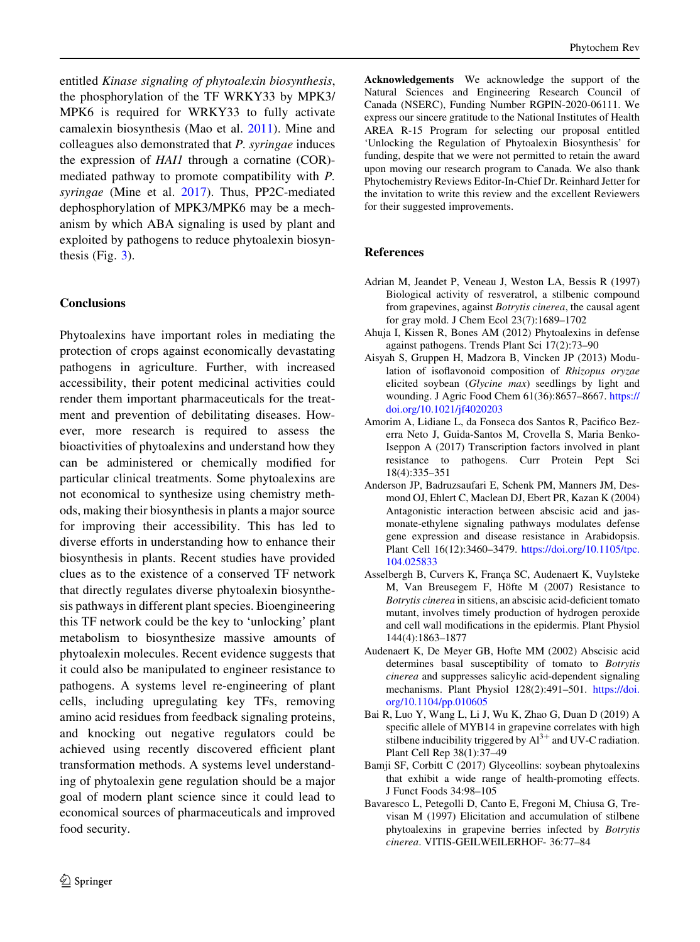<span id="page-15-0"></span>entitled Kinase signaling of phytoalexin biosynthesis, the phosphorylation of the TF WRKY33 by MPK3/ MPK6 is required for WRKY33 to fully activate camalexin biosynthesis (Mao et al. [2011\)](#page-19-0). Mine and colleagues also demonstrated that P. syringae induces the expression of HAI1 through a cornatine (COR) mediated pathway to promote compatibility with P. syringae (Mine et al. [2017\)](#page-19-0). Thus, PP2C-mediated dephosphorylation of MPK3/MPK6 may be a mechanism by which ABA signaling is used by plant and exploited by pathogens to reduce phytoalexin biosynthesis (Fig.  $3$ ).

### **Conclusions**

Phytoalexins have important roles in mediating the protection of crops against economically devastating pathogens in agriculture. Further, with increased accessibility, their potent medicinal activities could render them important pharmaceuticals for the treatment and prevention of debilitating diseases. However, more research is required to assess the bioactivities of phytoalexins and understand how they can be administered or chemically modified for particular clinical treatments. Some phytoalexins are not economical to synthesize using chemistry methods, making their biosynthesis in plants a major source for improving their accessibility. This has led to diverse efforts in understanding how to enhance their biosynthesis in plants. Recent studies have provided clues as to the existence of a conserved TF network that directly regulates diverse phytoalexin biosynthesis pathways in different plant species. Bioengineering this TF network could be the key to 'unlocking' plant metabolism to biosynthesize massive amounts of phytoalexin molecules. Recent evidence suggests that it could also be manipulated to engineer resistance to pathogens. A systems level re-engineering of plant cells, including upregulating key TFs, removing amino acid residues from feedback signaling proteins, and knocking out negative regulators could be achieved using recently discovered efficient plant transformation methods. A systems level understanding of phytoalexin gene regulation should be a major goal of modern plant science since it could lead to economical sources of pharmaceuticals and improved food security.

Acknowledgements We acknowledge the support of the Natural Sciences and Engineering Research Council of Canada (NSERC), Funding Number RGPIN-2020-06111. We express our sincere gratitude to the National Institutes of Health AREA R-15 Program for selecting our proposal entitled 'Unlocking the Regulation of Phytoalexin Biosynthesis' for funding, despite that we were not permitted to retain the award upon moving our research program to Canada. We also thank Phytochemistry Reviews Editor-In-Chief Dr. Reinhard Jetter for the invitation to write this review and the excellent Reviewers for their suggested improvements.

# References

- Adrian M, Jeandet P, Veneau J, Weston LA, Bessis R (1997) Biological activity of resveratrol, a stilbenic compound from grapevines, against Botrytis cinerea, the causal agent for gray mold. J Chem Ecol 23(7):1689–1702
- Ahuja I, Kissen R, Bones AM (2012) Phytoalexins in defense against pathogens. Trends Plant Sci 17(2):73–90
- Aisyah S, Gruppen H, Madzora B, Vincken JP (2013) Modulation of isoflavonoid composition of Rhizopus oryzae elicited soybean (Glycine max) seedlings by light and wounding. J Agric Food Chem 61(36):8657–8667. [https://](https://doi.org/10.1021/jf4020203) [doi.org/10.1021/jf4020203](https://doi.org/10.1021/jf4020203)
- Amorim A, Lidiane L, da Fonseca dos Santos R, Pacifico Bezerra Neto J, Guida-Santos M, Crovella S, Maria Benko-Iseppon A (2017) Transcription factors involved in plant resistance to pathogens. Curr Protein Pept Sci 18(4):335–351
- Anderson JP, Badruzsaufari E, Schenk PM, Manners JM, Desmond OJ, Ehlert C, Maclean DJ, Ebert PR, Kazan K (2004) Antagonistic interaction between abscisic acid and jasmonate-ethylene signaling pathways modulates defense gene expression and disease resistance in Arabidopsis. Plant Cell 16(12):3460–3479. [https://doi.org/10.1105/tpc.](https://doi.org/10.1105/tpc.104.025833) [104.025833](https://doi.org/10.1105/tpc.104.025833)
- Asselbergh B, Curvers K, França SC, Audenaert K, Vuylsteke M, Van Breusegem F, Höfte M (2007) Resistance to Botrytis cinerea in sitiens, an abscisic acid-deficient tomato mutant, involves timely production of hydrogen peroxide and cell wall modifications in the epidermis. Plant Physiol 144(4):1863–1877
- Audenaert K, De Meyer GB, Hofte MM (2002) Abscisic acid determines basal susceptibility of tomato to Botrytis cinerea and suppresses salicylic acid-dependent signaling mechanisms. Plant Physiol 128(2):491–501. [https://doi.](https://doi.org/10.1104/pp.010605) [org/10.1104/pp.010605](https://doi.org/10.1104/pp.010605)
- Bai R, Luo Y, Wang L, Li J, Wu K, Zhao G, Duan D (2019) A specific allele of MYB14 in grapevine correlates with high stilbene inducibility triggered by  $Al^{3+}$  and UV-C radiation. Plant Cell Rep 38(1):37–49
- Bamji SF, Corbitt C (2017) Glyceollins: soybean phytoalexins that exhibit a wide range of health-promoting effects. J Funct Foods 34:98–105
- Bavaresco L, Petegolli D, Canto E, Fregoni M, Chiusa G, Trevisan M (1997) Elicitation and accumulation of stilbene phytoalexins in grapevine berries infected by Botrytis cinerea. VITIS-GEILWEILERHOF- 36:77–84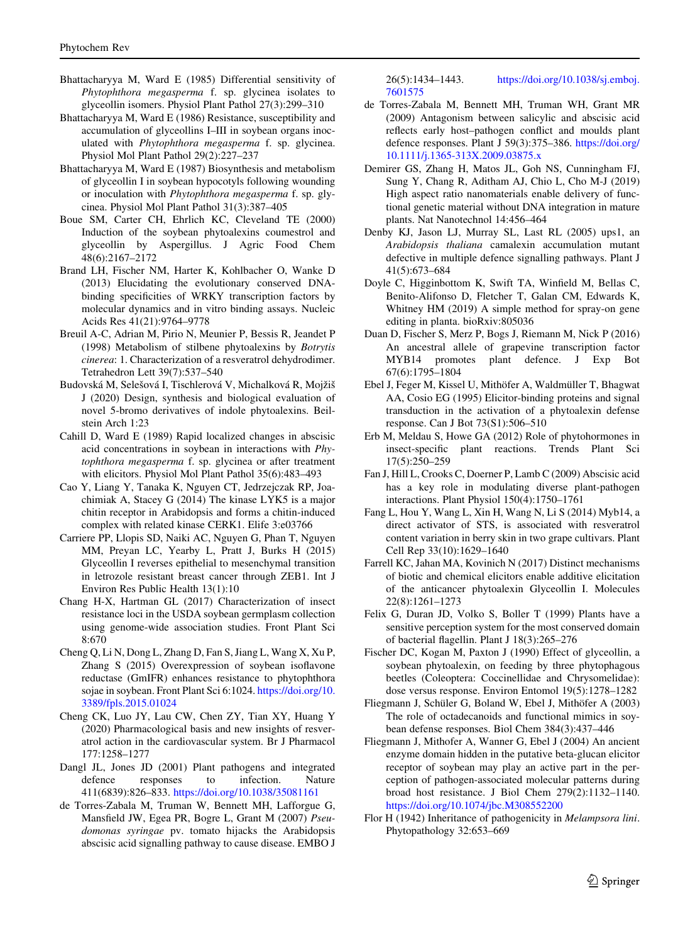- <span id="page-16-0"></span>Bhattacharyya M, Ward E (1985) Differential sensitivity of Phytophthora megasperma f. sp. glycinea isolates to glyceollin isomers. Physiol Plant Pathol 27(3):299–310
- Bhattacharyya M, Ward E (1986) Resistance, susceptibility and accumulation of glyceollins I–III in soybean organs inoculated with Phytophthora megasperma f. sp. glycinea. Physiol Mol Plant Pathol 29(2):227–237
- Bhattacharyya M, Ward E (1987) Biosynthesis and metabolism of glyceollin I in soybean hypocotyls following wounding or inoculation with Phytophthora megasperma f. sp. glycinea. Physiol Mol Plant Pathol 31(3):387–405
- Boue SM, Carter CH, Ehrlich KC, Cleveland TE (2000) Induction of the soybean phytoalexins coumestrol and glyceollin by Aspergillus. J Agric Food Chem 48(6):2167–2172
- Brand LH, Fischer NM, Harter K, Kohlbacher O, Wanke D (2013) Elucidating the evolutionary conserved DNAbinding specificities of WRKY transcription factors by molecular dynamics and in vitro binding assays. Nucleic Acids Res 41(21):9764–9778
- Breuil A-C, Adrian M, Pirio N, Meunier P, Bessis R, Jeandet P (1998) Metabolism of stilbene phytoalexins by Botrytis cinerea: 1. Characterization of a resveratrol dehydrodimer. Tetrahedron Lett 39(7):537–540
- Budovská M, Selešová I, Tischlerová V, Michalková R, Mojžiš J (2020) Design, synthesis and biological evaluation of novel 5-bromo derivatives of indole phytoalexins. Beilstein Arch 1:23
- Cahill D, Ward E (1989) Rapid localized changes in abscisic acid concentrations in soybean in interactions with Phytophthora megasperma f. sp. glycinea or after treatment with elicitors. Physiol Mol Plant Pathol 35(6):483–493
- Cao Y, Liang Y, Tanaka K, Nguyen CT, Jedrzejczak RP, Joachimiak A, Stacey G (2014) The kinase LYK5 is a major chitin receptor in Arabidopsis and forms a chitin-induced complex with related kinase CERK1. Elife 3:e03766
- Carriere PP, Llopis SD, Naiki AC, Nguyen G, Phan T, Nguyen MM, Preyan LC, Yearby L, Pratt J, Burks H (2015) Glyceollin I reverses epithelial to mesenchymal transition in letrozole resistant breast cancer through ZEB1. Int J Environ Res Public Health 13(1):10
- Chang H-X, Hartman GL (2017) Characterization of insect resistance loci in the USDA soybean germplasm collection using genome-wide association studies. Front Plant Sci 8:670
- Cheng Q, Li N, Dong L, Zhang D, Fan S, Jiang L, Wang X, Xu P, Zhang S (2015) Overexpression of soybean isoflavone reductase (GmIFR) enhances resistance to phytophthora sojae in soybean. Front Plant Sci 6:1024. [https://doi.org/10.](https://doi.org/10.3389/fpls.2015.01024) [3389/fpls.2015.01024](https://doi.org/10.3389/fpls.2015.01024)
- Cheng CK, Luo JY, Lau CW, Chen ZY, Tian XY, Huang Y (2020) Pharmacological basis and new insights of resveratrol action in the cardiovascular system. Br J Pharmacol 177:1258–1277
- Dangl JL, Jones JD (2001) Plant pathogens and integrated defence responses to infection. Nature 411(6839):826–833. <https://doi.org/10.1038/35081161>
- de Torres-Zabala M, Truman W, Bennett MH, Lafforgue G, Mansfield JW, Egea PR, Bogre L, Grant M (2007) Pseudomonas syringae pv. tomato hijacks the Arabidopsis abscisic acid signalling pathway to cause disease. EMBO J

26(5):1434–1443. [https://doi.org/10.1038/sj.emboj.](https://doi.org/10.1038/sj.emboj.7601575) [7601575](https://doi.org/10.1038/sj.emboj.7601575)

- de Torres-Zabala M, Bennett MH, Truman WH, Grant MR (2009) Antagonism between salicylic and abscisic acid reflects early host–pathogen conflict and moulds plant defence responses. Plant J 59(3):375–386. [https://doi.org/](https://doi.org/10.1111/j.1365-313X.2009.03875.x) [10.1111/j.1365-313X.2009.03875.x](https://doi.org/10.1111/j.1365-313X.2009.03875.x)
- Demirer GS, Zhang H, Matos JL, Goh NS, Cunningham FJ, Sung Y, Chang R, Aditham AJ, Chio L, Cho M-J (2019) High aspect ratio nanomaterials enable delivery of functional genetic material without DNA integration in mature plants. Nat Nanotechnol 14:456–464
- Denby KJ, Jason LJ, Murray SL, Last RL (2005) ups1, an Arabidopsis thaliana camalexin accumulation mutant defective in multiple defence signalling pathways. Plant J 41(5):673–684
- Doyle C, Higginbottom K, Swift TA, Winfield M, Bellas C, Benito-Alifonso D, Fletcher T, Galan CM, Edwards K, Whitney HM (2019) A simple method for spray-on gene editing in planta. bioRxiv:805036
- Duan D, Fischer S, Merz P, Bogs J, Riemann M, Nick P (2016) An ancestral allele of grapevine transcription factor MYB14 promotes plant defence. J Exp Bot 67(6):1795–1804
- Ebel J, Feger M, Kissel U, Mithöfer A, Waldmüller T, Bhagwat AA, Cosio EG (1995) Elicitor-binding proteins and signal transduction in the activation of a phytoalexin defense response. Can J Bot 73(S1):506–510
- Erb M, Meldau S, Howe GA (2012) Role of phytohormones in insect-specific plant reactions. Trends Plant Sci 17(5):250–259
- Fan J, Hill L, Crooks C, Doerner P, Lamb C (2009) Abscisic acid has a key role in modulating diverse plant-pathogen interactions. Plant Physiol 150(4):1750–1761
- Fang L, Hou Y, Wang L, Xin H, Wang N, Li S (2014) Myb14, a direct activator of STS, is associated with resveratrol content variation in berry skin in two grape cultivars. Plant Cell Rep 33(10):1629–1640
- Farrell KC, Jahan MA, Kovinich N (2017) Distinct mechanisms of biotic and chemical elicitors enable additive elicitation of the anticancer phytoalexin Glyceollin I. Molecules 22(8):1261–1273
- Felix G, Duran JD, Volko S, Boller T (1999) Plants have a sensitive perception system for the most conserved domain of bacterial flagellin. Plant J 18(3):265–276
- Fischer DC, Kogan M, Paxton J (1990) Effect of glyceollin, a soybean phytoalexin, on feeding by three phytophagous beetles (Coleoptera: Coccinellidae and Chrysomelidae): dose versus response. Environ Entomol 19(5):1278–1282
- Fliegmann J, Schüler G, Boland W, Ebel J, Mithöfer A (2003) The role of octadecanoids and functional mimics in soybean defense responses. Biol Chem 384(3):437–446
- Fliegmann J, Mithofer A, Wanner G, Ebel J (2004) An ancient enzyme domain hidden in the putative beta-glucan elicitor receptor of soybean may play an active part in the perception of pathogen-associated molecular patterns during broad host resistance. J Biol Chem 279(2):1132–1140. <https://doi.org/10.1074/jbc.M308552200>
- Flor H (1942) Inheritance of pathogenicity in Melampsora lini. Phytopathology 32:653–669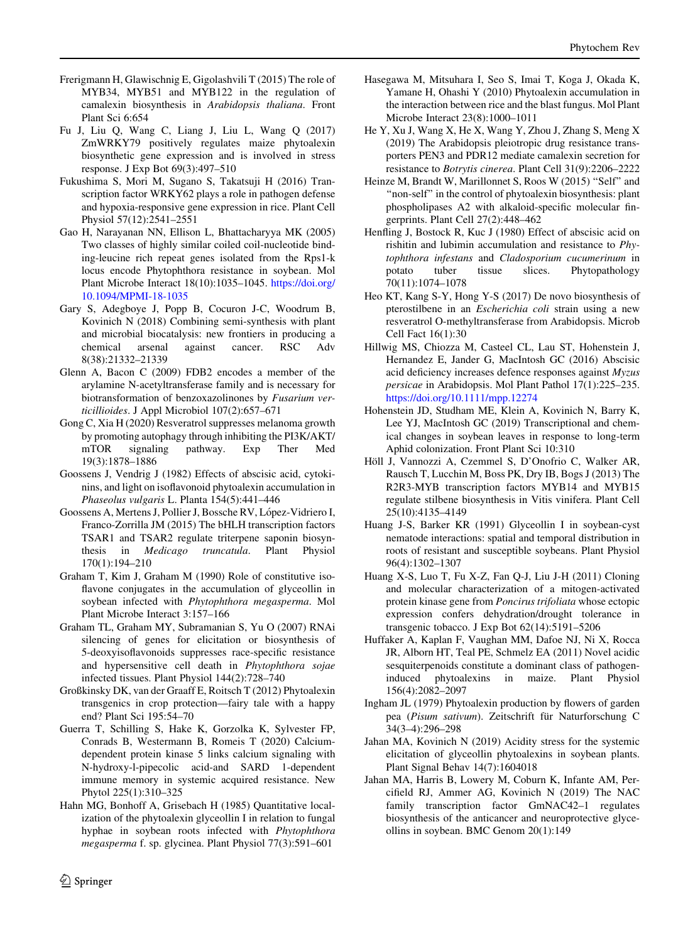- <span id="page-17-0"></span>Frerigmann H, Glawischnig E, Gigolashvili T (2015) The role of MYB34, MYB51 and MYB122 in the regulation of camalexin biosynthesis in Arabidopsis thaliana. Front Plant Sci 6:654
- Fu J, Liu Q, Wang C, Liang J, Liu L, Wang Q (2017) ZmWRKY79 positively regulates maize phytoalexin biosynthetic gene expression and is involved in stress response. J Exp Bot 69(3):497–510
- Fukushima S, Mori M, Sugano S, Takatsuji H (2016) Transcription factor WRKY62 plays a role in pathogen defense and hypoxia-responsive gene expression in rice. Plant Cell Physiol 57(12):2541–2551
- Gao H, Narayanan NN, Ellison L, Bhattacharyya MK (2005) Two classes of highly similar coiled coil-nucleotide binding-leucine rich repeat genes isolated from the Rps1-k locus encode Phytophthora resistance in soybean. Mol Plant Microbe Interact 18(10):1035–1045. [https://doi.org/](https://doi.org/10.1094/MPMI-18-1035) [10.1094/MPMI-18-1035](https://doi.org/10.1094/MPMI-18-1035)
- Gary S, Adegboye J, Popp B, Cocuron J-C, Woodrum B, Kovinich N (2018) Combining semi-synthesis with plant and microbial biocatalysis: new frontiers in producing a chemical arsenal against cancer. RSC Adv 8(38):21332–21339
- Glenn A, Bacon C (2009) FDB2 encodes a member of the arylamine N-acetyltransferase family and is necessary for biotransformation of benzoxazolinones by Fusarium verticillioides. J Appl Microbiol 107(2):657–671
- Gong C, Xia H (2020) Resveratrol suppresses melanoma growth by promoting autophagy through inhibiting the PI3K/AKT/ mTOR signaling pathway. Exp Ther Med 19(3):1878–1886
- Goossens J, Vendrig J (1982) Effects of abscisic acid, cytokinins, and light on isoflavonoid phytoalexin accumulation in Phaseolus vulgaris L. Planta 154(5):441–446
- Goossens A, Mertens J, Pollier J, Bossche RV, López-Vidriero I, Franco-Zorrilla JM (2015) The bHLH transcription factors TSAR1 and TSAR2 regulate triterpene saponin biosynthesis in Medicago truncatula. Plant Physiol 170(1):194–210
- Graham T, Kim J, Graham M (1990) Role of constitutive isoflavone conjugates in the accumulation of glyceollin in soybean infected with Phytophthora megasperma. Mol Plant Microbe Interact 3:157–166
- Graham TL, Graham MY, Subramanian S, Yu O (2007) RNAi silencing of genes for elicitation or biosynthesis of 5-deoxyisoflavonoids suppresses race-specific resistance and hypersensitive cell death in Phytophthora sojae infected tissues. Plant Physiol 144(2):728–740
- Großkinsky DK, van der Graaff E, Roitsch T (2012) Phytoalexin transgenics in crop protection—fairy tale with a happy end? Plant Sci 195:54–70
- Guerra T, Schilling S, Hake K, Gorzolka K, Sylvester FP, Conrads B, Westermann B, Romeis T (2020) Calciumdependent protein kinase 5 links calcium signaling with N-hydroxy-l-pipecolic acid-and SARD 1-dependent immune memory in systemic acquired resistance. New Phytol 225(1):310–325
- Hahn MG, Bonhoff A, Grisebach H (1985) Quantitative localization of the phytoalexin glyceollin I in relation to fungal hyphae in soybean roots infected with Phytophthora megasperma f. sp. glycinea. Plant Physiol 77(3):591–601
- Hasegawa M, Mitsuhara I, Seo S, Imai T, Koga J, Okada K, Yamane H, Ohashi Y (2010) Phytoalexin accumulation in the interaction between rice and the blast fungus. Mol Plant Microbe Interact 23(8):1000–1011
- He Y, Xu J, Wang X, He X, Wang Y, Zhou J, Zhang S, Meng X (2019) The Arabidopsis pleiotropic drug resistance transporters PEN3 and PDR12 mediate camalexin secretion for resistance to Botrytis cinerea. Plant Cell 31(9):2206–2222
- Heinze M, Brandt W, Marillonnet S, Roos W (2015) "Self" and "non-self" in the control of phytoalexin biosynthesis: plant phospholipases A2 with alkaloid-specific molecular fingerprints. Plant Cell 27(2):448–462
- Henfling J, Bostock R, Kuc J (1980) Effect of abscisic acid on rishitin and lubimin accumulation and resistance to Phytophthora infestans and Cladosporium cucumerinum in potato tuber tissue slices. Phytopathology potato tuber tissue slices. Phytopathology 70(11):1074–1078
- Heo KT, Kang S-Y, Hong Y-S (2017) De novo biosynthesis of pterostilbene in an Escherichia coli strain using a new resveratrol O-methyltransferase from Arabidopsis. Microb Cell Fact 16(1):30
- Hillwig MS, Chiozza M, Casteel CL, Lau ST, Hohenstein J, Hernandez E, Jander G, MacIntosh GC (2016) Abscisic acid deficiency increases defence responses against Myzus persicae in Arabidopsis. Mol Plant Pathol 17(1):225–235. <https://doi.org/10.1111/mpp.12274>
- Hohenstein JD, Studham ME, Klein A, Kovinich N, Barry K, Lee YJ, MacIntosh GC (2019) Transcriptional and chemical changes in soybean leaves in response to long-term Aphid colonization. Front Plant Sci 10:310
- Höll J, Vannozzi A, Czemmel S, D'Onofrio C, Walker AR, Rausch T, Lucchin M, Boss PK, Dry IB, Bogs J (2013) The R2R3-MYB transcription factors MYB14 and MYB15 regulate stilbene biosynthesis in Vitis vinifera. Plant Cell 25(10):4135–4149
- Huang J-S, Barker KR (1991) Glyceollin I in soybean-cyst nematode interactions: spatial and temporal distribution in roots of resistant and susceptible soybeans. Plant Physiol 96(4):1302–1307
- Huang X-S, Luo T, Fu X-Z, Fan Q-J, Liu J-H (2011) Cloning and molecular characterization of a mitogen-activated protein kinase gene from Poncirus trifoliata whose ectopic expression confers dehydration/drought tolerance in transgenic tobacco. J Exp Bot 62(14):5191–5206
- Huffaker A, Kaplan F, Vaughan MM, Dafoe NJ, Ni X, Rocca JR, Alborn HT, Teal PE, Schmelz EA (2011) Novel acidic sesquiterpenoids constitute a dominant class of pathogeninduced phytoalexins in maize. Plant Physiol 156(4):2082–2097
- Ingham JL (1979) Phytoalexin production by flowers of garden pea (Pisum sativum). Zeitschrift für Naturforschung C 34(3–4):296–298
- Jahan MA, Kovinich N (2019) Acidity stress for the systemic elicitation of glyceollin phytoalexins in soybean plants. Plant Signal Behav 14(7):1604018
- Jahan MA, Harris B, Lowery M, Coburn K, Infante AM, Percifield RJ, Ammer AG, Kovinich N (2019) The NAC family transcription factor GmNAC42–1 regulates biosynthesis of the anticancer and neuroprotective glyceollins in soybean. BMC Genom 20(1):149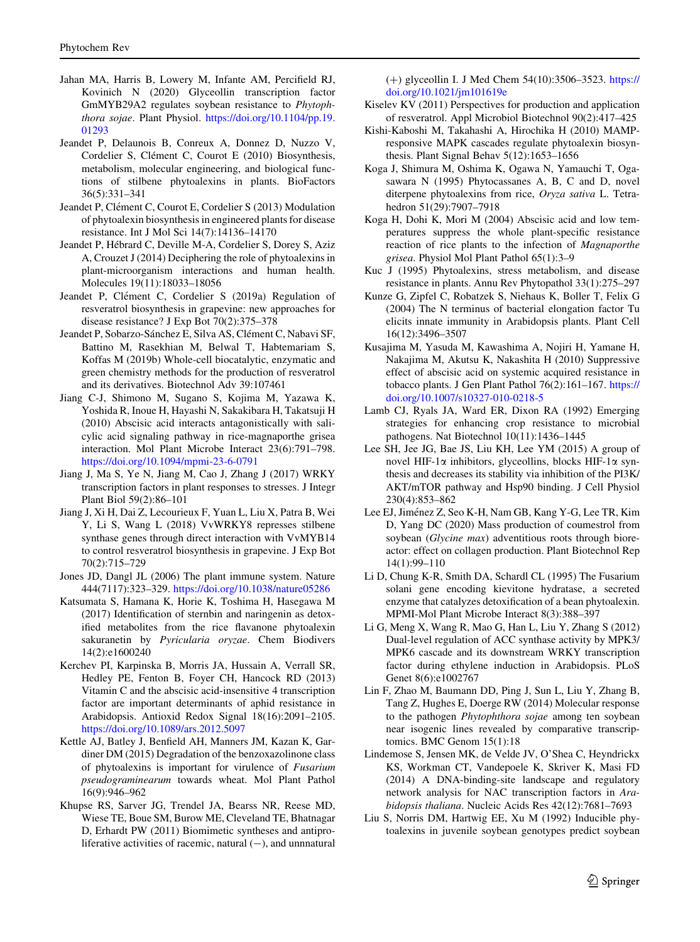- <span id="page-18-0"></span>Jahan MA, Harris B, Lowery M, Infante AM, Percifield RJ, Kovinich N (2020) Glyceollin transcription factor GmMYB29A2 regulates soybean resistance to Phytophthora sojae. Plant Physiol. [https://doi.org/10.1104/pp.19.](https://doi.org/10.1104/pp.19.01293) [01293](https://doi.org/10.1104/pp.19.01293)
- Jeandet P, Delaunois B, Conreux A, Donnez D, Nuzzo V, Cordelier S, Clément C, Courot E (2010) Biosynthesis, metabolism, molecular engineering, and biological functions of stilbene phytoalexins in plants. BioFactors 36(5):331–341
- Jeandet P, Clément C, Courot E, Cordelier S (2013) Modulation of phytoalexin biosynthesis in engineered plants for disease resistance. Int J Mol Sci 14(7):14136–14170
- Jeandet P, Hébrard C, Deville M-A, Cordelier S, Dorey S, Aziz A, Crouzet J (2014) Deciphering the role of phytoalexins in plant-microorganism interactions and human health. Molecules 19(11):18033–18056
- Jeandet P, Clément C, Cordelier S (2019a) Regulation of resveratrol biosynthesis in grapevine: new approaches for disease resistance? J Exp Bot 70(2):375–378
- Jeandet P, Sobarzo-Sánchez E, Silva AS, Clément C, Nabavi SF, Battino M, Rasekhian M, Belwal T, Habtemariam S, Koffas M (2019b) Whole-cell biocatalytic, enzymatic and green chemistry methods for the production of resveratrol and its derivatives. Biotechnol Adv 39:107461
- Jiang C-J, Shimono M, Sugano S, Kojima M, Yazawa K, Yoshida R, Inoue H, Hayashi N, Sakakibara H, Takatsuji H (2010) Abscisic acid interacts antagonistically with salicylic acid signaling pathway in rice-magnaporthe grisea interaction. Mol Plant Microbe Interact 23(6):791–798. <https://doi.org/10.1094/mpmi-23-6-0791>
- Jiang J, Ma S, Ye N, Jiang M, Cao J, Zhang J (2017) WRKY transcription factors in plant responses to stresses. J Integr Plant Biol 59(2):86–101
- Jiang J, Xi H, Dai Z, Lecourieux F, Yuan L, Liu X, Patra B, Wei Y, Li S, Wang L (2018) VvWRKY8 represses stilbene synthase genes through direct interaction with VvMYB14 to control resveratrol biosynthesis in grapevine. J Exp Bot 70(2):715–729
- Jones JD, Dangl JL (2006) The plant immune system. Nature 444(7117):323–329. <https://doi.org/10.1038/nature05286>
- Katsumata S, Hamana K, Horie K, Toshima H, Hasegawa M (2017) Identification of sternbin and naringenin as detoxified metabolites from the rice flavanone phytoalexin sakuranetin by Pyricularia oryzae. Chem Biodivers 14(2):e1600240
- Kerchev PI, Karpinska B, Morris JA, Hussain A, Verrall SR, Hedley PE, Fenton B, Foyer CH, Hancock RD (2013) Vitamin C and the abscisic acid-insensitive 4 transcription factor are important determinants of aphid resistance in Arabidopsis. Antioxid Redox Signal 18(16):2091–2105. <https://doi.org/10.1089/ars.2012.5097>
- Kettle AJ, Batley J, Benfield AH, Manners JM, Kazan K, Gardiner DM (2015) Degradation of the benzoxazolinone class of phytoalexins is important for virulence of Fusarium pseudograminearum towards wheat. Mol Plant Pathol 16(9):946–962
- Khupse RS, Sarver JG, Trendel JA, Bearss NR, Reese MD, Wiese TE, Boue SM, Burow ME, Cleveland TE, Bhatnagar D, Erhardt PW (2011) Biomimetic syntheses and antiproliferative activities of racemic, natural  $(-)$ , and unnnatural

(?) glyceollin I. J Med Chem 54(10):3506–3523. [https://](https://doi.org/10.1021/jm101619e) [doi.org/10.1021/jm101619e](https://doi.org/10.1021/jm101619e)

- Kiselev KV (2011) Perspectives for production and application of resveratrol. Appl Microbiol Biotechnol 90(2):417–425
- Kishi-Kaboshi M, Takahashi A, Hirochika H (2010) MAMPresponsive MAPK cascades regulate phytoalexin biosynthesis. Plant Signal Behav 5(12):1653–1656
- Koga J, Shimura M, Oshima K, Ogawa N, Yamauchi T, Ogasawara N (1995) Phytocassanes A, B, C and D, novel diterpene phytoalexins from rice, Oryza sativa L. Tetrahedron 51(29):7907–7918
- Koga H, Dohi K, Mori M (2004) Abscisic acid and low temperatures suppress the whole plant-specific resistance reaction of rice plants to the infection of Magnaporthe grisea. Physiol Mol Plant Pathol 65(1):3–9
- Kuc J (1995) Phytoalexins, stress metabolism, and disease resistance in plants. Annu Rev Phytopathol 33(1):275–297
- Kunze G, Zipfel C, Robatzek S, Niehaus K, Boller T, Felix G (2004) The N terminus of bacterial elongation factor Tu elicits innate immunity in Arabidopsis plants. Plant Cell 16(12):3496–3507
- Kusajima M, Yasuda M, Kawashima A, Nojiri H, Yamane H, Nakajima M, Akutsu K, Nakashita H (2010) Suppressive effect of abscisic acid on systemic acquired resistance in tobacco plants. J Gen Plant Pathol 76(2):161–167. [https://](https://doi.org/10.1007/s10327-010-0218-5) [doi.org/10.1007/s10327-010-0218-5](https://doi.org/10.1007/s10327-010-0218-5)
- Lamb CJ, Ryals JA, Ward ER, Dixon RA (1992) Emerging strategies for enhancing crop resistance to microbial pathogens. Nat Biotechnol 10(11):1436–1445
- Lee SH, Jee JG, Bae JS, Liu KH, Lee YM (2015) A group of novel HIF-1 $\alpha$  inhibitors, glyceollins, blocks HIF-1 $\alpha$  synthesis and decreases its stability via inhibition of the PI3K/ AKT/mTOR pathway and Hsp90 binding. J Cell Physiol 230(4):853–862
- Lee EJ, Jiménez Z, Seo K-H, Nam GB, Kang Y-G, Lee TR, Kim D, Yang DC (2020) Mass production of coumestrol from soybean (Glycine max) adventitious roots through bioreactor: effect on collagen production. Plant Biotechnol Rep 14(1):99–110
- Li D, Chung K-R, Smith DA, Schardl CL (1995) The Fusarium solani gene encoding kievitone hydratase, a secreted enzyme that catalyzes detoxification of a bean phytoalexin. MPMI-Mol Plant Microbe Interact 8(3):388–397
- Li G, Meng X, Wang R, Mao G, Han L, Liu Y, Zhang S (2012) Dual-level regulation of ACC synthase activity by MPK3/ MPK6 cascade and its downstream WRKY transcription factor during ethylene induction in Arabidopsis. PLoS Genet 8(6):e1002767
- Lin F, Zhao M, Baumann DD, Ping J, Sun L, Liu Y, Zhang B, Tang Z, Hughes E, Doerge RW (2014) Molecular response to the pathogen Phytophthora sojae among ten soybean near isogenic lines revealed by comparative transcriptomics. BMC Genom 15(1):18
- Lindemose S, Jensen MK, de Velde JV, O'Shea C, Heyndrickx KS, Workman CT, Vandepoele K, Skriver K, Masi FD (2014) A DNA-binding-site landscape and regulatory network analysis for NAC transcription factors in Arabidopsis thaliana. Nucleic Acids Res 42(12):7681–7693
- Liu S, Norris DM, Hartwig EE, Xu M (1992) Inducible phytoalexins in juvenile soybean genotypes predict soybean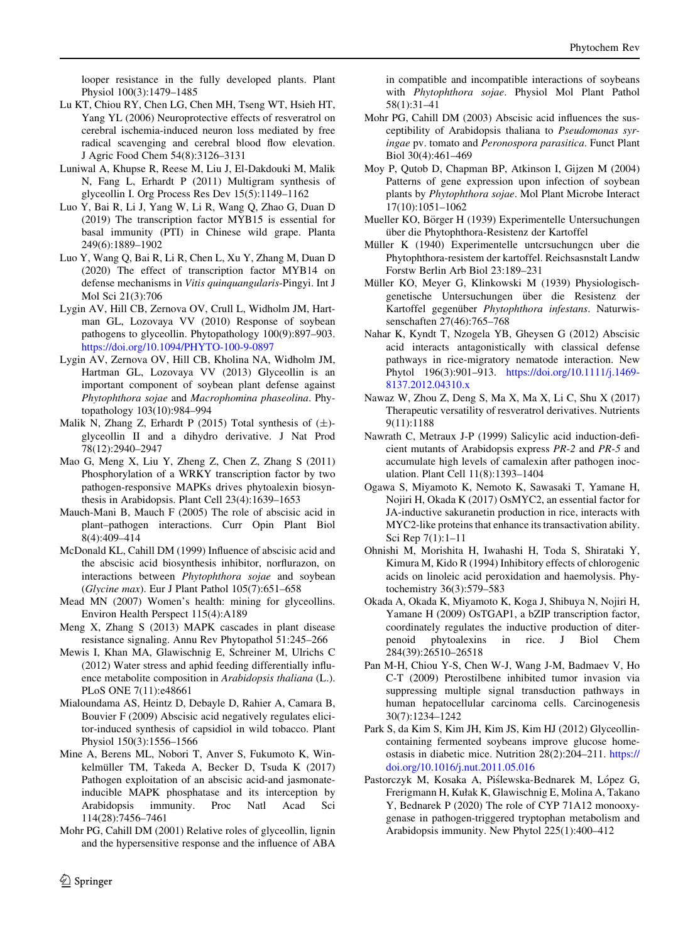<span id="page-19-0"></span>looper resistance in the fully developed plants. Plant Physiol 100(3):1479–1485

- Lu KT, Chiou RY, Chen LG, Chen MH, Tseng WT, Hsieh HT, Yang YL (2006) Neuroprotective effects of resveratrol on cerebral ischemia-induced neuron loss mediated by free radical scavenging and cerebral blood flow elevation. J Agric Food Chem 54(8):3126–3131
- Luniwal A, Khupse R, Reese M, Liu J, El-Dakdouki M, Malik N, Fang L, Erhardt P (2011) Multigram synthesis of glyceollin I. Org Process Res Dev 15(5):1149–1162
- Luo Y, Bai R, Li J, Yang W, Li R, Wang Q, Zhao G, Duan D (2019) The transcription factor MYB15 is essential for basal immunity (PTI) in Chinese wild grape. Planta 249(6):1889–1902
- Luo Y, Wang Q, Bai R, Li R, Chen L, Xu Y, Zhang M, Duan D (2020) The effect of transcription factor MYB14 on defense mechanisms in Vitis quinquangularis-Pingyi. Int J Mol Sci 21(3):706
- Lygin AV, Hill CB, Zernova OV, Crull L, Widholm JM, Hartman GL, Lozovaya VV (2010) Response of soybean pathogens to glyceollin. Phytopathology 100(9):897–903. <https://doi.org/10.1094/PHYTO-100-9-0897>
- Lygin AV, Zernova OV, Hill CB, Kholina NA, Widholm JM, Hartman GL, Lozovaya VV (2013) Glyceollin is an important component of soybean plant defense against Phytophthora sojae and Macrophomina phaseolina. Phytopathology 103(10):984–994
- Malik N, Zhang Z, Erhardt P (2015) Total synthesis of  $(\pm)$ glyceollin II and a dihydro derivative. J Nat Prod 78(12):2940–2947
- Mao G, Meng X, Liu Y, Zheng Z, Chen Z, Zhang S (2011) Phosphorylation of a WRKY transcription factor by two pathogen-responsive MAPKs drives phytoalexin biosynthesis in Arabidopsis. Plant Cell 23(4):1639–1653
- Mauch-Mani B, Mauch F (2005) The role of abscisic acid in plant–pathogen interactions. Curr Opin Plant Biol 8(4):409–414
- McDonald KL, Cahill DM (1999) Influence of abscisic acid and the abscisic acid biosynthesis inhibitor, norflurazon, on interactions between Phytophthora sojae and soybean (Glycine max). Eur J Plant Pathol 105(7):651–658
- Mead MN (2007) Women's health: mining for glyceollins. Environ Health Perspect 115(4):A189
- Meng X, Zhang S (2013) MAPK cascades in plant disease resistance signaling. Annu Rev Phytopathol 51:245–266
- Mewis I, Khan MA, Glawischnig E, Schreiner M, Ulrichs C (2012) Water stress and aphid feeding differentially influence metabolite composition in Arabidopsis thaliana (L.). PLoS ONE 7(11):e48661
- Mialoundama AS, Heintz D, Debayle D, Rahier A, Camara B, Bouvier F (2009) Abscisic acid negatively regulates elicitor-induced synthesis of capsidiol in wild tobacco. Plant Physiol 150(3):1556–1566
- Mine A, Berens ML, Nobori T, Anver S, Fukumoto K, Winkelmüller TM, Takeda A, Becker D, Tsuda K (2017) Pathogen exploitation of an abscisic acid-and jasmonateinducible MAPK phosphatase and its interception by Arabidopsis immunity. Proc Natl Acad Sci 114(28):7456–7461
- Mohr PG, Cahill DM (2001) Relative roles of glyceollin, lignin and the hypersensitive response and the influence of ABA

in compatible and incompatible interactions of soybeans with Phytophthora sojae. Physiol Mol Plant Pathol 58(1):31–41

- Mohr PG, Cahill DM (2003) Abscisic acid influences the susceptibility of Arabidopsis thaliana to Pseudomonas syringae pv. tomato and Peronospora parasitica. Funct Plant Biol 30(4):461–469
- Moy P, Qutob D, Chapman BP, Atkinson I, Gijzen M (2004) Patterns of gene expression upon infection of soybean plants by Phytophthora sojae. Mol Plant Microbe Interact 17(10):1051–1062
- Mueller KO, Börger H (1939) Experimentelle Untersuchungen über die Phytophthora-Resistenz der Kartoffel
- Müller K (1940) Experimentelle untcrsuchungcn uber die Phytophthora-resistem der kartoffel. Reichsasnstalt Landw Forstw Berlin Arb Biol 23:189–231
- Müller KO, Meyer G, Klinkowski M (1939) Physiologischgenetische Untersuchungen über die Resistenz der Kartoffel gegenüber Phytophthora infestans. Naturwissenschaften 27(46):765–768
- Nahar K, Kyndt T, Nzogela YB, Gheysen G (2012) Abscisic acid interacts antagonistically with classical defense pathways in rice-migratory nematode interaction. New Phytol 196(3):901–913. [https://doi.org/10.1111/j.1469-](https://doi.org/10.1111/j.1469-8137.2012.04310.x) [8137.2012.04310.x](https://doi.org/10.1111/j.1469-8137.2012.04310.x)
- Nawaz W, Zhou Z, Deng S, Ma X, Ma X, Li C, Shu X (2017) Therapeutic versatility of resveratrol derivatives. Nutrients 9(11):1188
- Nawrath C, Metraux J-P (1999) Salicylic acid induction-deficient mutants of Arabidopsis express PR-2 and PR-5 and accumulate high levels of camalexin after pathogen inoculation. Plant Cell 11(8):1393–1404
- Ogawa S, Miyamoto K, Nemoto K, Sawasaki T, Yamane H, Nojiri H, Okada K (2017) OsMYC2, an essential factor for JA-inductive sakuranetin production in rice, interacts with MYC2-like proteins that enhance its transactivation ability. Sci Rep 7(1):1–11
- Ohnishi M, Morishita H, Iwahashi H, Toda S, Shirataki Y, Kimura M, Kido R (1994) Inhibitory effects of chlorogenic acids on linoleic acid peroxidation and haemolysis. Phytochemistry 36(3):579–583
- Okada A, Okada K, Miyamoto K, Koga J, Shibuya N, Nojiri H, Yamane H (2009) OsTGAP1, a bZIP transcription factor, coordinately regulates the inductive production of diterpenoid phytoalexins in rice. J Biol Chem 284(39):26510–26518
- Pan M-H, Chiou Y-S, Chen W-J, Wang J-M, Badmaev V, Ho C-T (2009) Pterostilbene inhibited tumor invasion via suppressing multiple signal transduction pathways in human hepatocellular carcinoma cells. Carcinogenesis 30(7):1234–1242
- Park S, da Kim S, Kim JH, Kim JS, Kim HJ (2012) Glyceollincontaining fermented soybeans improve glucose homeostasis in diabetic mice. Nutrition 28(2):204–211. [https://](https://doi.org/10.1016/j.nut.2011.05.016) [doi.org/10.1016/j.nut.2011.05.016](https://doi.org/10.1016/j.nut.2011.05.016)
- Pastorczyk M, Kosaka A, Piślewska-Bednarek M, López G, Frerigmann H, Kułak K, Glawischnig E, Molina A, Takano Y, Bednarek P (2020) The role of CYP 71A12 monooxygenase in pathogen-triggered tryptophan metabolism and Arabidopsis immunity. New Phytol 225(1):400–412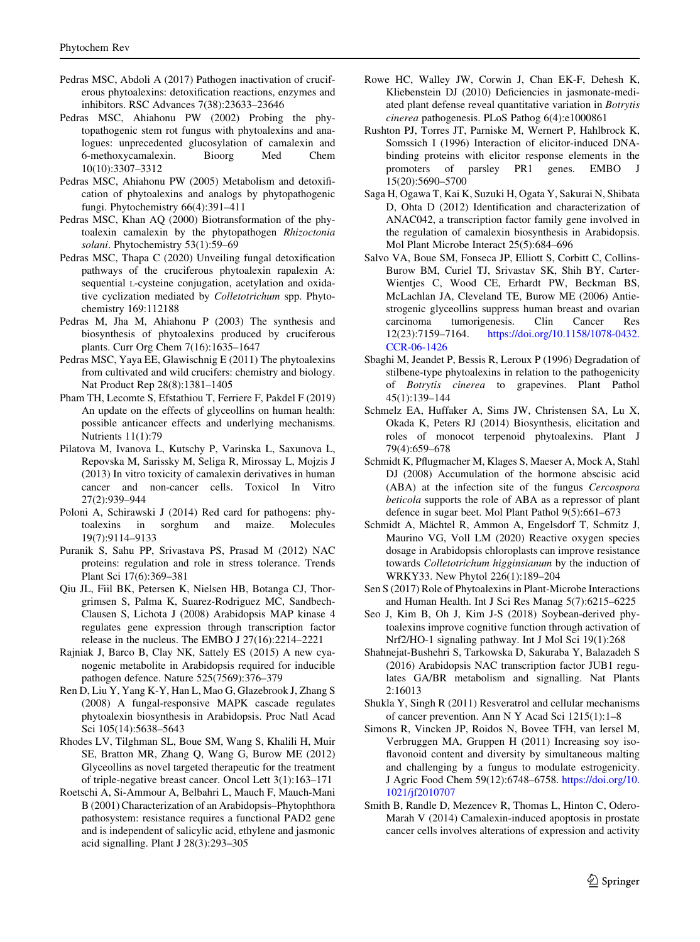- <span id="page-20-0"></span>Pedras MSC, Abdoli A (2017) Pathogen inactivation of cruciferous phytoalexins: detoxification reactions, enzymes and inhibitors. RSC Advances 7(38):23633–23646
- Pedras MSC, Ahiahonu PW (2002) Probing the phytopathogenic stem rot fungus with phytoalexins and analogues: unprecedented glucosylation of camalexin and 6-methoxycamalexin. Bioorg Med Chem 10(10):3307–3312
- Pedras MSC, Ahiahonu PW (2005) Metabolism and detoxification of phytoalexins and analogs by phytopathogenic fungi. Phytochemistry 66(4):391–411
- Pedras MSC, Khan AQ (2000) Biotransformation of the phytoalexin camalexin by the phytopathogen Rhizoctonia solani. Phytochemistry 53(1):59–69
- Pedras MSC, Thapa C (2020) Unveiling fungal detoxification pathways of the cruciferous phytoalexin rapalexin A: sequential L-cysteine conjugation, acetylation and oxidative cyclization mediated by Colletotrichum spp. Phytochemistry 169:112188
- Pedras M, Jha M, Ahiahonu P (2003) The synthesis and biosynthesis of phytoalexins produced by cruciferous plants. Curr Org Chem 7(16):1635–1647
- Pedras MSC, Yaya EE, Glawischnig E (2011) The phytoalexins from cultivated and wild crucifers: chemistry and biology. Nat Product Rep 28(8):1381–1405
- Pham TH, Lecomte S, Efstathiou T, Ferriere F, Pakdel F (2019) An update on the effects of glyceollins on human health: possible anticancer effects and underlying mechanisms. Nutrients 11(1):79
- Pilatova M, Ivanova L, Kutschy P, Varinska L, Saxunova L, Repovska M, Sarissky M, Seliga R, Mirossay L, Mojzis J (2013) In vitro toxicity of camalexin derivatives in human cancer and non-cancer cells. Toxicol In Vitro 27(2):939–944
- Poloni A, Schirawski J (2014) Red card for pathogens: phytoalexins in sorghum and maize. Molecules 19(7):9114–9133
- Puranik S, Sahu PP, Srivastava PS, Prasad M (2012) NAC proteins: regulation and role in stress tolerance. Trends Plant Sci 17(6):369–381
- Qiu JL, Fiil BK, Petersen K, Nielsen HB, Botanga CJ, Thorgrimsen S, Palma K, Suarez-Rodriguez MC, Sandbech-Clausen S, Lichota J (2008) Arabidopsis MAP kinase 4 regulates gene expression through transcription factor release in the nucleus. The EMBO J 27(16):2214–2221
- Rajniak J, Barco B, Clay NK, Sattely ES (2015) A new cyanogenic metabolite in Arabidopsis required for inducible pathogen defence. Nature 525(7569):376–379
- Ren D, Liu Y, Yang K-Y, Han L, Mao G, Glazebrook J, Zhang S (2008) A fungal-responsive MAPK cascade regulates phytoalexin biosynthesis in Arabidopsis. Proc Natl Acad Sci 105(14):5638–5643
- Rhodes LV, Tilghman SL, Boue SM, Wang S, Khalili H, Muir SE, Bratton MR, Zhang Q, Wang G, Burow ME (2012) Glyceollins as novel targeted therapeutic for the treatment of triple-negative breast cancer. Oncol Lett 3(1):163–171
- Roetschi A, Si-Ammour A, Belbahri L, Mauch F, Mauch-Mani B (2001) Characterization of an Arabidopsis–Phytophthora pathosystem: resistance requires a functional PAD2 gene and is independent of salicylic acid, ethylene and jasmonic acid signalling. Plant J 28(3):293–305
- Rowe HC, Walley JW, Corwin J, Chan EK-F, Dehesh K, Kliebenstein DJ (2010) Deficiencies in jasmonate-mediated plant defense reveal quantitative variation in Botrytis cinerea pathogenesis. PLoS Pathog 6(4):e1000861
- Rushton PJ, Torres JT, Parniske M, Wernert P, Hahlbrock K, Somssich I (1996) Interaction of elicitor-induced DNAbinding proteins with elicitor response elements in the promoters of parsley PR1 genes. EMBO J 15(20):5690–5700
- Saga H, Ogawa T, Kai K, Suzuki H, Ogata Y, Sakurai N, Shibata D, Ohta D (2012) Identification and characterization of ANAC042, a transcription factor family gene involved in the regulation of camalexin biosynthesis in Arabidopsis. Mol Plant Microbe Interact 25(5):684–696
- Salvo VA, Boue SM, Fonseca JP, Elliott S, Corbitt C, Collins-Burow BM, Curiel TJ, Srivastav SK, Shih BY, Carter-Wientjes C, Wood CE, Erhardt PW, Beckman BS, McLachlan JA, Cleveland TE, Burow ME (2006) Antiestrogenic glyceollins suppress human breast and ovarian carcinoma tumorigenesis. Clin Cancer Res 12(23):7159–7164. [https://doi.org/10.1158/1078-0432.](https://doi.org/10.1158/1078-0432.CCR-06-1426) [CCR-06-1426](https://doi.org/10.1158/1078-0432.CCR-06-1426)
- Sbaghi M, Jeandet P, Bessis R, Leroux P (1996) Degradation of stilbene-type phytoalexins in relation to the pathogenicity of Botrytis cinerea to grapevines. Plant Pathol 45(1):139–144
- Schmelz EA, Huffaker A, Sims JW, Christensen SA, Lu X, Okada K, Peters RJ (2014) Biosynthesis, elicitation and roles of monocot terpenoid phytoalexins. Plant J 79(4):659–678
- Schmidt K, Pflugmacher M, Klages S, Maeser A, Mock A, Stahl DJ (2008) Accumulation of the hormone abscisic acid (ABA) at the infection site of the fungus Cercospora beticola supports the role of ABA as a repressor of plant defence in sugar beet. Mol Plant Pathol 9(5):661–673
- Schmidt A, Mächtel R, Ammon A, Engelsdorf T, Schmitz J, Maurino VG, Voll LM (2020) Reactive oxygen species dosage in Arabidopsis chloroplasts can improve resistance towards Colletotrichum higginsianum by the induction of WRKY33. New Phytol 226(1):189–204
- Sen S (2017) Role of Phytoalexins in Plant-Microbe Interactions and Human Health. Int J Sci Res Manag 5(7):6215–6225
- Seo J, Kim B, Oh J, Kim J-S (2018) Soybean-derived phytoalexins improve cognitive function through activation of Nrf2/HO-1 signaling pathway. Int J Mol Sci 19(1):268
- Shahnejat-Bushehri S, Tarkowska D, Sakuraba Y, Balazadeh S (2016) Arabidopsis NAC transcription factor JUB1 regulates GA/BR metabolism and signalling. Nat Plants 2:16013
- Shukla Y, Singh R (2011) Resveratrol and cellular mechanisms of cancer prevention. Ann N Y Acad Sci 1215(1):1–8
- Simons R, Vincken JP, Roidos N, Bovee TFH, van Iersel M, Verbruggen MA, Gruppen H (2011) Increasing soy isoflavonoid content and diversity by simultaneous malting and challenging by a fungus to modulate estrogenicity. J Agric Food Chem 59(12):6748–6758. [https://doi.org/10.](https://doi.org/10.1021/jf2010707) [1021/jf2010707](https://doi.org/10.1021/jf2010707)
- Smith B, Randle D, Mezencev R, Thomas L, Hinton C, Odero-Marah V (2014) Camalexin-induced apoptosis in prostate cancer cells involves alterations of expression and activity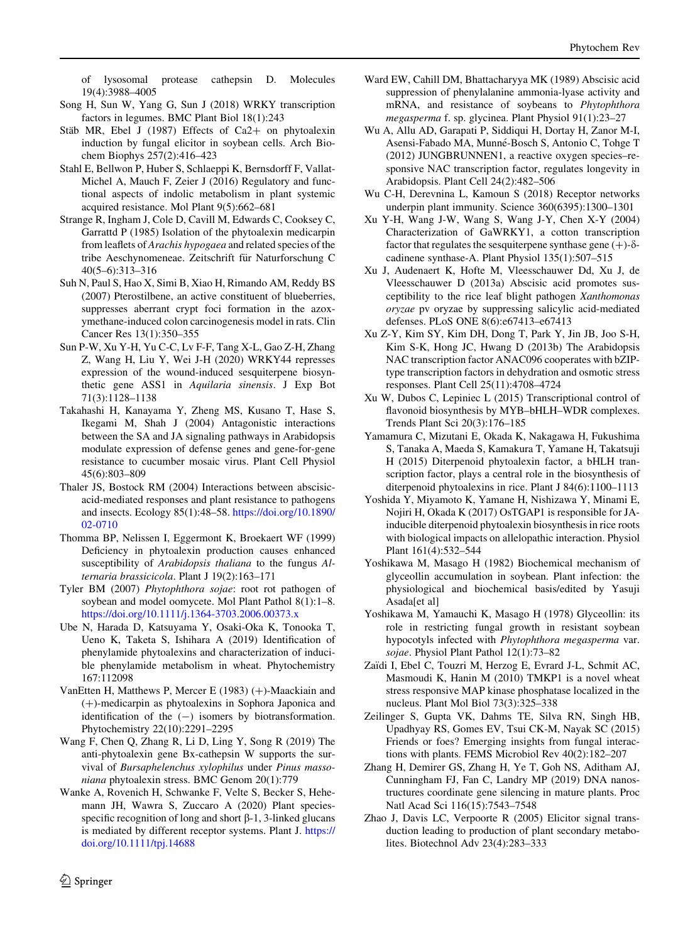<span id="page-21-0"></span>of lysosomal protease cathepsin D. Molecules 19(4):3988–4005

- Song H, Sun W, Yang G, Sun J (2018) WRKY transcription factors in legumes. BMC Plant Biol 18(1):243
- Stäb MR, Ebel J (1987) Effects of Ca2+ on phytoalexin induction by fungal elicitor in soybean cells. Arch Biochem Biophys 257(2):416–423
- Stahl E, Bellwon P, Huber S, Schlaeppi K, Bernsdorff F, Vallat-Michel A, Mauch F, Zeier J (2016) Regulatory and functional aspects of indolic metabolism in plant systemic acquired resistance. Mol Plant 9(5):662–681
- Strange R, Ingham J, Cole D, Cavill M, Edwards C, Cooksey C, Garrattd P (1985) Isolation of the phytoalexin medicarpin from leaflets of Arachis hypogaea and related species of the tribe Aeschynomeneae. Zeitschrift für Naturforschung C 40(5–6):313–316
- Suh N, Paul S, Hao X, Simi B, Xiao H, Rimando AM, Reddy BS (2007) Pterostilbene, an active constituent of blueberries, suppresses aberrant crypt foci formation in the azoxymethane-induced colon carcinogenesis model in rats. Clin Cancer Res 13(1):350–355
- Sun P-W, Xu Y-H, Yu C-C, Lv F-F, Tang X-L, Gao Z-H, Zhang Z, Wang H, Liu Y, Wei J-H (2020) WRKY44 represses expression of the wound-induced sesquiterpene biosynthetic gene ASS1 in Aquilaria sinensis. J Exp Bot 71(3):1128–1138
- Takahashi H, Kanayama Y, Zheng MS, Kusano T, Hase S, Ikegami M, Shah J (2004) Antagonistic interactions between the SA and JA signaling pathways in Arabidopsis modulate expression of defense genes and gene-for-gene resistance to cucumber mosaic virus. Plant Cell Physiol 45(6):803–809
- Thaler JS, Bostock RM (2004) Interactions between abscisicacid-mediated responses and plant resistance to pathogens and insects. Ecology 85(1):48–58. [https://doi.org/10.1890/](https://doi.org/10.1890/02-0710) [02-0710](https://doi.org/10.1890/02-0710)
- Thomma BP, Nelissen I, Eggermont K, Broekaert WF (1999) Deficiency in phytoalexin production causes enhanced susceptibility of Arabidopsis thaliana to the fungus Alternaria brassicicola. Plant J 19(2):163–171
- Tyler BM (2007) Phytophthora sojae: root rot pathogen of soybean and model oomycete. Mol Plant Pathol 8(1):1–8. <https://doi.org/10.1111/j.1364-3703.2006.00373.x>
- Ube N, Harada D, Katsuyama Y, Osaki-Oka K, Tonooka T, Ueno K, Taketa S, Ishihara A (2019) Identification of phenylamide phytoalexins and characterization of inducible phenylamide metabolism in wheat. Phytochemistry 167:112098
- VanEtten H, Matthews P, Mercer E (1983)  $(+)$ -Maackiain and (?)-medicarpin as phytoalexins in Sophora Japonica and identification of the  $(-)$  isomers by biotransformation. Phytochemistry 22(10):2291–2295
- Wang F, Chen Q, Zhang R, Li D, Ling Y, Song R (2019) The anti-phytoalexin gene Bx-cathepsin W supports the survival of Bursaphelenchus xylophilus under Pinus massoniana phytoalexin stress. BMC Genom 20(1):779
- Wanke A, Rovenich H, Schwanke F, Velte S, Becker S, Hehemann JH, Wawra S, Zuccaro A (2020) Plant speciesspecific recognition of long and short  $\beta$ -1, 3-linked glucans is mediated by different receptor systems. Plant J. [https://](https://doi.org/10.1111/tpj.14688) [doi.org/10.1111/tpj.14688](https://doi.org/10.1111/tpj.14688)
- Ward EW, Cahill DM, Bhattacharyya MK (1989) Abscisic acid suppression of phenylalanine ammonia-lyase activity and mRNA, and resistance of soybeans to Phytophthora megasperma f. sp. glycinea. Plant Physiol 91(1):23–27
- Wu A, Allu AD, Garapati P, Siddiqui H, Dortay H, Zanor M-I, Asensi-Fabado MA, Munné-Bosch S, Antonio C, Tohge T (2012) JUNGBRUNNEN1, a reactive oxygen species–responsive NAC transcription factor, regulates longevity in Arabidopsis. Plant Cell 24(2):482–506
- Wu C-H, Derevnina L, Kamoun S (2018) Receptor networks underpin plant immunity. Science 360(6395):1300–1301
- Xu Y-H, Wang J-W, Wang S, Wang J-Y, Chen X-Y (2004) Characterization of GaWRKY1, a cotton transcription factor that regulates the sesquiterpene synthase gene  $(+)$ - $\delta$ cadinene synthase-A. Plant Physiol 135(1):507–515
- Xu J, Audenaert K, Hofte M, Vleesschauwer Dd, Xu J, de Vleesschauwer D (2013a) Abscisic acid promotes susceptibility to the rice leaf blight pathogen Xanthomonas oryzae pv oryzae by suppressing salicylic acid-mediated defenses. PLoS ONE 8(6):e67413–e67413
- Xu Z-Y, Kim SY, Kim DH, Dong T, Park Y, Jin JB, Joo S-H, Kim S-K, Hong JC, Hwang D (2013b) The Arabidopsis NAC transcription factor ANAC096 cooperates with bZIPtype transcription factors in dehydration and osmotic stress responses. Plant Cell 25(11):4708–4724
- Xu W, Dubos C, Lepiniec L (2015) Transcriptional control of flavonoid biosynthesis by MYB–bHLH–WDR complexes. Trends Plant Sci 20(3):176–185
- Yamamura C, Mizutani E, Okada K, Nakagawa H, Fukushima S, Tanaka A, Maeda S, Kamakura T, Yamane H, Takatsuji H (2015) Diterpenoid phytoalexin factor, a bHLH transcription factor, plays a central role in the biosynthesis of diterpenoid phytoalexins in rice. Plant J 84(6):1100–1113
- Yoshida Y, Miyamoto K, Yamane H, Nishizawa Y, Minami E, Nojiri H, Okada K (2017) OsTGAP1 is responsible for JAinducible diterpenoid phytoalexin biosynthesis in rice roots with biological impacts on allelopathic interaction. Physiol Plant 161(4):532–544
- Yoshikawa M, Masago H (1982) Biochemical mechanism of glyceollin accumulation in soybean. Plant infection: the physiological and biochemical basis/edited by Yasuji Asada[et al]
- Yoshikawa M, Yamauchi K, Masago H (1978) Glyceollin: its role in restricting fungal growth in resistant soybean hypocotyls infected with Phytophthora megasperma var. sojae. Physiol Plant Pathol 12(1):73–82
- Zaïdi I, Ebel C, Touzri M, Herzog E, Evrard J-L, Schmit AC, Masmoudi K, Hanin M (2010) TMKP1 is a novel wheat stress responsive MAP kinase phosphatase localized in the nucleus. Plant Mol Biol 73(3):325–338
- Zeilinger S, Gupta VK, Dahms TE, Silva RN, Singh HB, Upadhyay RS, Gomes EV, Tsui CK-M, Nayak SC (2015) Friends or foes? Emerging insights from fungal interactions with plants. FEMS Microbiol Rev 40(2):182–207
- Zhang H, Demirer GS, Zhang H, Ye T, Goh NS, Aditham AJ, Cunningham FJ, Fan C, Landry MP (2019) DNA nanostructures coordinate gene silencing in mature plants. Proc Natl Acad Sci 116(15):7543–7548
- Zhao J, Davis LC, Verpoorte R (2005) Elicitor signal transduction leading to production of plant secondary metabolites. Biotechnol Adv 23(4):283–333